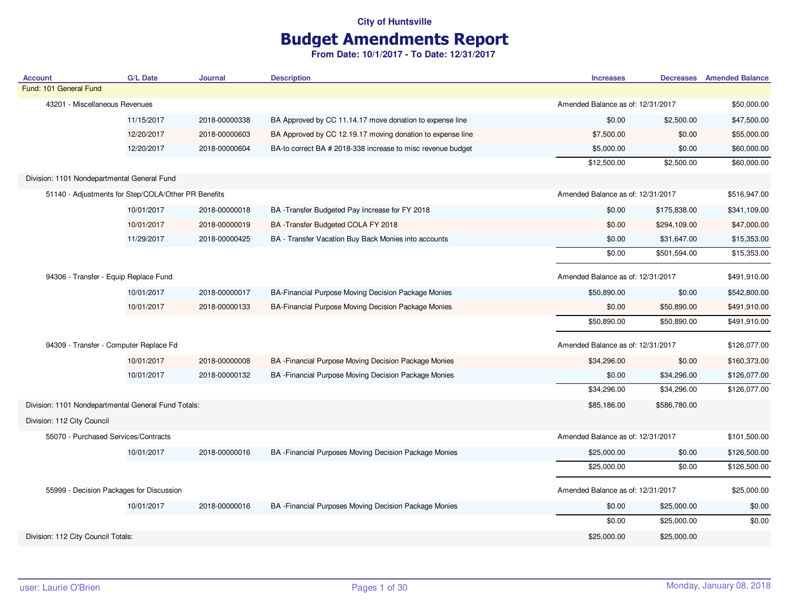## Budget Amendments Report

| <b>Account</b>                                      | <b>G/L Date</b> | <b>Journal</b> | <b>Description</b>                                          | <b>Increases</b>                  |              | <b>Decreases</b> Amended Balance |
|-----------------------------------------------------|-----------------|----------------|-------------------------------------------------------------|-----------------------------------|--------------|----------------------------------|
| Fund: 101 General Fund                              |                 |                |                                                             |                                   |              |                                  |
| 43201 - Miscellaneous Revenues                      |                 |                |                                                             | Amended Balance as of: 12/31/2017 |              | \$50,000.00                      |
|                                                     | 11/15/2017      | 2018-00000338  | BA Approved by CC 11.14.17 move donation to expense line    | \$0.00                            | \$2,500.00   | \$47,500.00                      |
|                                                     | 12/20/2017      | 2018-00000603  | BA Approved by CC 12.19.17 moving donation to expense line  | \$7,500.00                        | \$0.00       | \$55,000.00                      |
|                                                     | 12/20/2017      | 2018-00000604  | BA-to correct BA # 2018-338 increase to misc revenue budget | \$5,000.00                        | \$0.00       | \$60,000.00                      |
|                                                     |                 |                |                                                             | \$12,500.00                       | \$2,500.00   | \$60,000.00                      |
| Division: 1101 Nondepartmental General Fund         |                 |                |                                                             |                                   |              |                                  |
| 51140 - Adjustments for Step/COLA/Other PR Benefits |                 |                |                                                             | Amended Balance as of: 12/31/2017 |              | \$516,947.00                     |
|                                                     | 10/01/2017      | 2018-00000018  | BA-Transfer Budgeted Pay Increase for FY 2018               | \$0.00                            | \$175,838.00 | \$341,109.00                     |
|                                                     | 10/01/2017      | 2018-00000019  | BA-Transfer Budgeted COLA FY 2018                           | \$0.00                            | \$294,109.00 | \$47,000.00                      |
|                                                     | 11/29/2017      | 2018-00000425  | BA - Transfer Vacation Buy Back Monies into accounts        | \$0.00                            | \$31,647.00  | \$15,353.00                      |
|                                                     |                 |                |                                                             | \$0.00                            | \$501,594.00 | \$15,353.00                      |
|                                                     |                 |                |                                                             |                                   |              |                                  |
| 94306 - Transfer - Equip Replace Fund               |                 |                |                                                             | Amended Balance as of: 12/31/2017 |              | \$491,910.00                     |
|                                                     | 10/01/2017      | 2018-00000017  | BA-Financial Purpose Moving Decision Package Monies         | \$50,890.00                       | \$0.00       | \$542,800.00                     |
|                                                     | 10/01/2017      | 2018-00000133  | BA-Financial Purpose Moving Decision Package Monies         | \$0.00                            | \$50,890.00  | \$491,910.00                     |
|                                                     |                 |                |                                                             | \$50,890.00                       | \$50,890.00  | \$491,910.00                     |
| 94309 - Transfer - Computer Replace Fd              |                 |                |                                                             | Amended Balance as of: 12/31/2017 |              | \$126,077.00                     |
|                                                     | 10/01/2017      | 2018-00000008  | BA - Financial Purpose Moving Decision Package Monies       | \$34,296.00                       | \$0.00       | \$160,373.00                     |
|                                                     | 10/01/2017      | 2018-00000132  | BA - Financial Purpose Moving Decision Package Monies       | \$0.00                            | \$34,296.00  | \$126,077.00                     |
|                                                     |                 |                |                                                             | \$34,296.00                       | \$34,296.00  | \$126,077.00                     |
| Division: 1101 Nondepartmental General Fund Totals: |                 |                |                                                             | \$85,186.00                       | \$586,780.00 |                                  |
| Division: 112 City Council                          |                 |                |                                                             |                                   |              |                                  |
| 55070 - Purchased Services/Contracts                |                 |                |                                                             | Amended Balance as of: 12/31/2017 |              | \$101,500.00                     |
|                                                     | 10/01/2017      | 2018-00000016  | BA - Financial Purposes Moving Decision Package Monies      | \$25,000.00                       | \$0.00       | \$126,500.00                     |
|                                                     |                 |                |                                                             | \$25,000.00                       | \$0.00       | \$126,500.00                     |
| 55999 - Decision Packages for Discussion            |                 |                |                                                             | Amended Balance as of: 12/31/2017 |              | \$25,000.00                      |
|                                                     | 10/01/2017      | 2018-00000016  | BA - Financial Purposes Moving Decision Package Monies      | \$0.00                            | \$25,000.00  | \$0.00                           |
|                                                     |                 |                |                                                             | \$0.00                            | \$25,000.00  | \$0.00                           |
| Division: 112 City Council Totals:                  |                 |                |                                                             | \$25,000.00                       | \$25,000.00  |                                  |
|                                                     |                 |                |                                                             |                                   |              |                                  |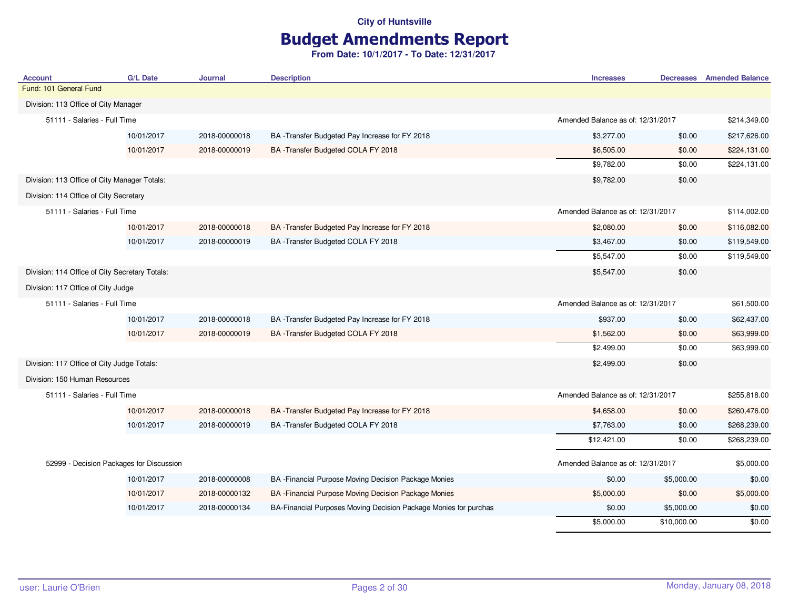# Budget Amendments Report

| <b>Account</b>                                 | <b>G/L Date</b> | <b>Journal</b> | <b>Description</b>                                               | <b>Increases</b>                  |                                   | <b>Decreases</b> Amended Balance |
|------------------------------------------------|-----------------|----------------|------------------------------------------------------------------|-----------------------------------|-----------------------------------|----------------------------------|
| Fund: 101 General Fund                         |                 |                |                                                                  |                                   |                                   |                                  |
| Division: 113 Office of City Manager           |                 |                |                                                                  |                                   |                                   |                                  |
| 51111 - Salaries - Full Time                   |                 |                |                                                                  |                                   | Amended Balance as of: 12/31/2017 |                                  |
|                                                | 10/01/2017      | 2018-00000018  | BA -Transfer Budgeted Pay Increase for FY 2018                   | \$3,277.00                        | \$0.00                            | \$217,626.00                     |
|                                                | 10/01/2017      | 2018-00000019  | BA-Transfer Budgeted COLA FY 2018                                | \$6,505.00                        | \$0.00                            | \$224,131.00                     |
|                                                |                 |                |                                                                  | \$9,782.00                        | \$0.00                            | \$224,131.00                     |
| Division: 113 Office of City Manager Totals:   |                 |                |                                                                  | \$9,782.00                        | \$0.00                            |                                  |
| Division: 114 Office of City Secretary         |                 |                |                                                                  |                                   |                                   |                                  |
| 51111 - Salaries - Full Time                   |                 |                |                                                                  | Amended Balance as of: 12/31/2017 |                                   | \$114,002.00                     |
|                                                | 10/01/2017      | 2018-00000018  | BA -Transfer Budgeted Pay Increase for FY 2018                   | \$2,080.00                        | \$0.00                            | \$116,082.00                     |
|                                                | 10/01/2017      | 2018-00000019  | BA-Transfer Budgeted COLA FY 2018                                | \$3,467.00                        | \$0.00                            | \$119,549.00                     |
|                                                |                 |                |                                                                  | \$5,547.00                        | \$0.00                            | \$119,549.00                     |
| Division: 114 Office of City Secretary Totals: |                 |                |                                                                  | \$5,547.00                        | \$0.00                            |                                  |
| Division: 117 Office of City Judge             |                 |                |                                                                  |                                   |                                   |                                  |
| 51111 - Salaries - Full Time                   |                 |                |                                                                  | Amended Balance as of: 12/31/2017 |                                   | \$61,500.00                      |
|                                                | 10/01/2017      | 2018-00000018  | BA -Transfer Budgeted Pay Increase for FY 2018                   | \$937.00                          | \$0.00                            | \$62,437.00                      |
|                                                | 10/01/2017      | 2018-00000019  | BA-Transfer Budgeted COLA FY 2018                                | \$1,562.00                        | \$0.00                            | \$63,999.00                      |
|                                                |                 |                |                                                                  | \$2,499.00                        | \$0.00                            | \$63,999.00                      |
| Division: 117 Office of City Judge Totals:     |                 |                |                                                                  | \$2,499.00                        | \$0.00                            |                                  |
| Division: 150 Human Resources                  |                 |                |                                                                  |                                   |                                   |                                  |
| 51111 - Salaries - Full Time                   |                 |                |                                                                  | Amended Balance as of: 12/31/2017 |                                   | \$255,818.00                     |
|                                                | 10/01/2017      | 2018-00000018  | BA -Transfer Budgeted Pay Increase for FY 2018                   | \$4,658.00                        | \$0.00                            | \$260,476.00                     |
|                                                | 10/01/2017      | 2018-00000019  | BA-Transfer Budgeted COLA FY 2018                                | \$7,763.00                        | \$0.00                            | \$268,239.00                     |
|                                                |                 |                |                                                                  | \$12,421.00                       | \$0.00                            | \$268,239.00                     |
| 52999 - Decision Packages for Discussion       |                 |                |                                                                  | Amended Balance as of: 12/31/2017 |                                   | \$5,000.00                       |
|                                                | 10/01/2017      | 2018-00000008  | BA - Financial Purpose Moving Decision Package Monies            | \$0.00                            | \$5,000.00                        | \$0.00                           |
|                                                | 10/01/2017      | 2018-00000132  | BA - Financial Purpose Moving Decision Package Monies            | \$5,000.00                        | \$0.00                            | \$5,000.00                       |
|                                                | 10/01/2017      | 2018-00000134  | BA-Financial Purposes Moving Decision Package Monies for purchas | \$0.00                            | \$5,000.00                        | \$0.00                           |
|                                                |                 |                |                                                                  | \$5,000.00                        | \$10,000.00                       | \$0.00                           |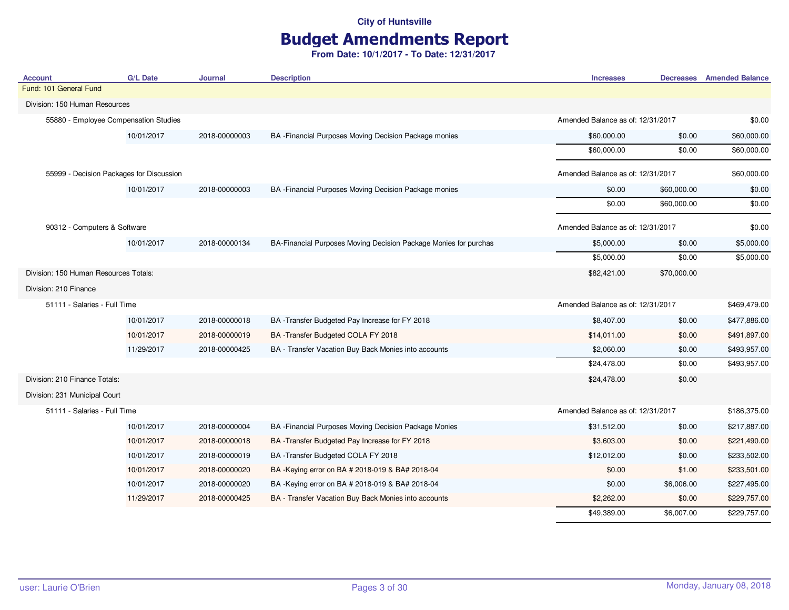# Budget Amendments Report

| <b>Account</b>                           | <b>G/L Date</b> | <b>Journal</b> | <b>Description</b>                                               | <b>Increases</b>                  |             | <b>Decreases</b> Amended Balance |
|------------------------------------------|-----------------|----------------|------------------------------------------------------------------|-----------------------------------|-------------|----------------------------------|
| Fund: 101 General Fund                   |                 |                |                                                                  |                                   |             |                                  |
| Division: 150 Human Resources            |                 |                |                                                                  |                                   |             |                                  |
| 55880 - Employee Compensation Studies    |                 |                |                                                                  | Amended Balance as of: 12/31/2017 |             | \$0.00                           |
|                                          | 10/01/2017      | 2018-00000003  | BA - Financial Purposes Moving Decision Package monies           | \$60,000.00                       | \$0.00      | \$60,000.00                      |
|                                          |                 |                |                                                                  | \$60,000.00                       | \$0.00      | \$60,000.00                      |
| 55999 - Decision Packages for Discussion |                 |                |                                                                  | Amended Balance as of: 12/31/2017 |             | \$60,000.00                      |
|                                          | 10/01/2017      | 2018-00000003  | BA - Financial Purposes Moving Decision Package monies           | \$0.00                            | \$60,000.00 | \$0.00                           |
|                                          |                 |                |                                                                  | \$0.00                            | \$60,000.00 | \$0.00                           |
| 90312 - Computers & Software             |                 |                |                                                                  | Amended Balance as of: 12/31/2017 |             | \$0.00                           |
|                                          | 10/01/2017      | 2018-00000134  | BA-Financial Purposes Moving Decision Package Monies for purchas | \$5,000.00                        | \$0.00      | \$5,000.00                       |
|                                          |                 |                |                                                                  | \$5,000.00                        | \$0.00      | \$5,000.00                       |
| Division: 150 Human Resources Totals:    |                 |                |                                                                  | \$82,421.00                       | \$70,000.00 |                                  |
| Division: 210 Finance                    |                 |                |                                                                  |                                   |             |                                  |
| 51111 - Salaries - Full Time             |                 |                |                                                                  | Amended Balance as of: 12/31/2017 |             | \$469,479.00                     |
|                                          | 10/01/2017      | 2018-00000018  | BA -Transfer Budgeted Pay Increase for FY 2018                   | \$8,407.00                        | \$0.00      | \$477,886.00                     |
|                                          | 10/01/2017      | 2018-00000019  | BA -Transfer Budgeted COLA FY 2018                               | \$14,011.00                       | \$0.00      | \$491,897.00                     |
|                                          | 11/29/2017      | 2018-00000425  | BA - Transfer Vacation Buy Back Monies into accounts             | \$2,060.00                        | \$0.00      | \$493,957.00                     |
|                                          |                 |                |                                                                  | \$24,478.00                       | \$0.00      | \$493,957.00                     |
| Division: 210 Finance Totals:            |                 |                |                                                                  | \$24,478.00                       | \$0.00      |                                  |
| Division: 231 Municipal Court            |                 |                |                                                                  |                                   |             |                                  |
| 51111 - Salaries - Full Time             |                 |                |                                                                  | Amended Balance as of: 12/31/2017 |             | \$186,375.00                     |
|                                          | 10/01/2017      | 2018-00000004  | BA - Financial Purposes Moving Decision Package Monies           | \$31,512.00                       | \$0.00      | \$217,887.00                     |
|                                          | 10/01/2017      | 2018-00000018  | BA -Transfer Budgeted Pay Increase for FY 2018                   | \$3,603.00                        | \$0.00      | \$221,490.00                     |
|                                          | 10/01/2017      | 2018-00000019  | BA -Transfer Budgeted COLA FY 2018                               | \$12,012.00                       | \$0.00      | \$233,502.00                     |
|                                          | 10/01/2017      | 2018-00000020  | BA -Keying error on BA # 2018-019 & BA# 2018-04                  | \$0.00                            | \$1.00      | \$233,501.00                     |
|                                          | 10/01/2017      | 2018-00000020  | BA-Keying error on BA # 2018-019 & BA# 2018-04                   | \$0.00                            | \$6,006.00  | \$227,495.00                     |
|                                          | 11/29/2017      | 2018-00000425  | BA - Transfer Vacation Buy Back Monies into accounts             | \$2,262.00                        | \$0.00      | \$229,757.00                     |
|                                          |                 |                |                                                                  | \$49,389.00                       | \$6,007.00  | \$229,757.00                     |
|                                          |                 |                |                                                                  |                                   |             |                                  |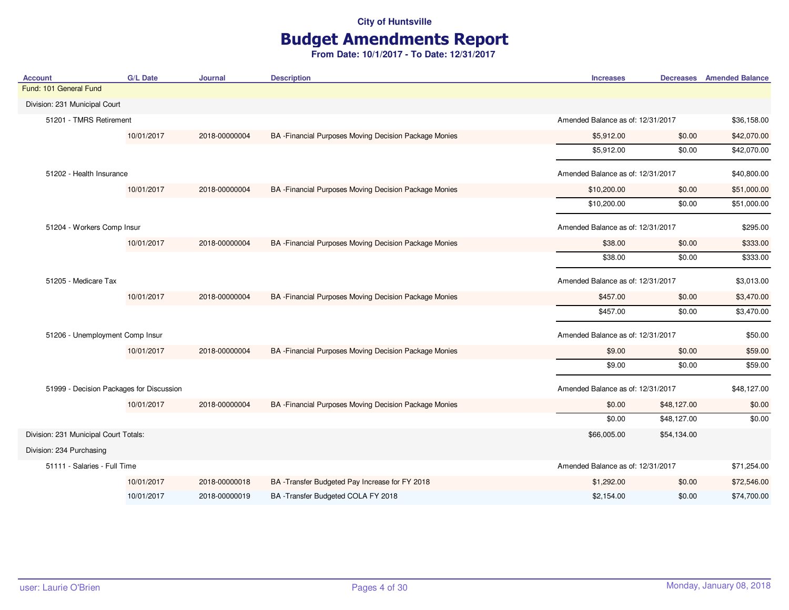## Budget Amendments Report

| <b>Account</b>                           | <b>G/L Date</b>            | <b>Journal</b> | <b>Description</b>                                     | <b>Increases</b>                  |                                   | <b>Decreases</b> Amended Balance |
|------------------------------------------|----------------------------|----------------|--------------------------------------------------------|-----------------------------------|-----------------------------------|----------------------------------|
| Fund: 101 General Fund                   |                            |                |                                                        |                                   |                                   |                                  |
| Division: 231 Municipal Court            |                            |                |                                                        |                                   |                                   |                                  |
| 51201 - TMRS Retirement                  |                            |                |                                                        | Amended Balance as of: 12/31/2017 |                                   | \$36,158.00                      |
|                                          | 10/01/2017                 | 2018-00000004  | BA - Financial Purposes Moving Decision Package Monies | \$5,912.00                        | \$0.00                            | \$42,070.00                      |
|                                          |                            |                |                                                        | \$5,912.00                        | \$0.00                            | \$42,070.00                      |
| 51202 - Health Insurance                 |                            |                |                                                        | Amended Balance as of: 12/31/2017 |                                   | \$40,800.00                      |
|                                          | 10/01/2017                 | 2018-00000004  | BA - Financial Purposes Moving Decision Package Monies | \$10,200.00                       | \$0.00                            | \$51,000.00                      |
|                                          |                            |                |                                                        | \$10,200.00                       | \$0.00                            | \$51,000.00                      |
|                                          | 51204 - Workers Comp Insur |                |                                                        |                                   | Amended Balance as of: 12/31/2017 | \$295.00                         |
|                                          | 10/01/2017                 | 2018-00000004  | BA - Financial Purposes Moving Decision Package Monies | \$38.00                           | \$0.00                            | \$333.00                         |
|                                          |                            |                |                                                        | \$38.00                           | \$0.00                            | \$333.00                         |
| 51205 - Medicare Tax                     |                            |                |                                                        |                                   | Amended Balance as of: 12/31/2017 |                                  |
|                                          | 10/01/2017                 | 2018-00000004  | BA - Financial Purposes Moving Decision Package Monies | \$457.00                          | \$0.00                            | \$3,470.00                       |
|                                          |                            |                |                                                        | \$457.00                          | \$0.00                            | \$3,470.00                       |
| 51206 - Unemployment Comp Insur          |                            |                |                                                        | Amended Balance as of: 12/31/2017 |                                   | \$50.00                          |
|                                          | 10/01/2017                 | 2018-00000004  | BA - Financial Purposes Moving Decision Package Monies | \$9.00                            | \$0.00                            | \$59.00                          |
|                                          |                            |                |                                                        | \$9.00                            | \$0.00                            | \$59.00                          |
| 51999 - Decision Packages for Discussion |                            |                |                                                        | Amended Balance as of: 12/31/2017 |                                   | \$48,127.00                      |
|                                          | 10/01/2017                 | 2018-00000004  | BA - Financial Purposes Moving Decision Package Monies | \$0.00                            | \$48,127.00                       | \$0.00                           |
|                                          |                            |                |                                                        | \$0.00                            | \$48,127.00                       | \$0.00                           |
| Division: 231 Municipal Court Totals:    |                            |                |                                                        | \$66,005.00                       | \$54,134.00                       |                                  |
| Division: 234 Purchasing                 |                            |                |                                                        |                                   |                                   |                                  |
| 51111 - Salaries - Full Time             |                            |                |                                                        | Amended Balance as of: 12/31/2017 |                                   | \$71,254.00                      |
|                                          | 10/01/2017                 | 2018-00000018  | BA -Transfer Budgeted Pay Increase for FY 2018         | \$1,292.00                        | \$0.00                            | \$72,546.00                      |
|                                          | 10/01/2017                 | 2018-00000019  | BA -Transfer Budgeted COLA FY 2018                     | \$2,154.00                        | \$0.00                            | \$74,700.00                      |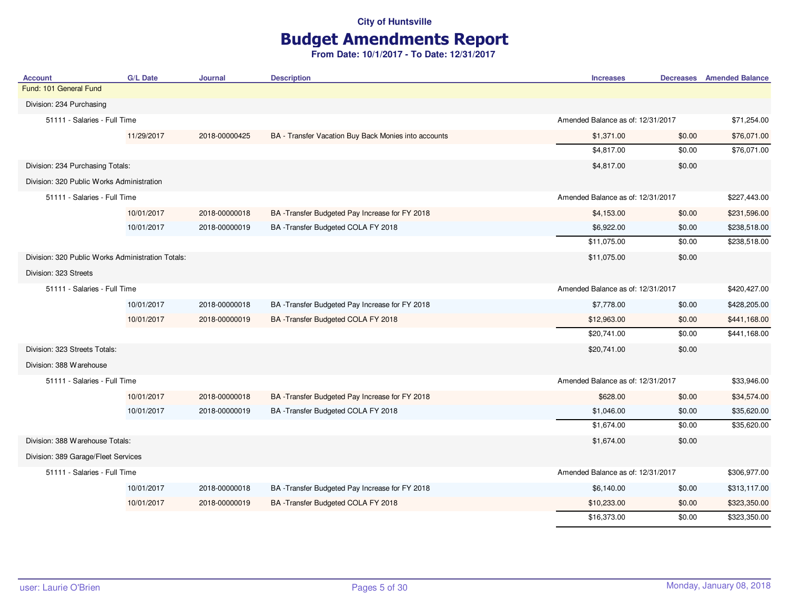# Budget Amendments Report

| <b>Account</b>                                    | <b>G/L Date</b> | Journal       | <b>Description</b>                                   | <b>Increases</b>                  |              | <b>Decreases</b> Amended Balance |
|---------------------------------------------------|-----------------|---------------|------------------------------------------------------|-----------------------------------|--------------|----------------------------------|
| Fund: 101 General Fund                            |                 |               |                                                      |                                   |              |                                  |
| Division: 234 Purchasing                          |                 |               |                                                      |                                   |              |                                  |
| 51111 - Salaries - Full Time                      |                 |               |                                                      | Amended Balance as of: 12/31/2017 |              | \$71,254.00                      |
|                                                   | 11/29/2017      | 2018-00000425 | BA - Transfer Vacation Buy Back Monies into accounts | \$1,371.00                        | \$0.00       | \$76,071.00                      |
|                                                   |                 |               |                                                      | \$4,817.00                        | \$0.00       | \$76,071.00                      |
| Division: 234 Purchasing Totals:                  |                 |               |                                                      | \$4,817.00                        | \$0.00       |                                  |
| Division: 320 Public Works Administration         |                 |               |                                                      |                                   |              |                                  |
| 51111 - Salaries - Full Time                      |                 |               |                                                      | Amended Balance as of: 12/31/2017 |              | \$227,443.00                     |
|                                                   | 10/01/2017      | 2018-00000018 | BA -Transfer Budgeted Pay Increase for FY 2018       | \$4,153.00                        | \$0.00       | \$231,596.00                     |
|                                                   | 10/01/2017      | 2018-00000019 | BA -Transfer Budgeted COLA FY 2018                   | \$6,922.00                        | \$0.00       | \$238,518.00                     |
|                                                   |                 |               |                                                      | \$11,075.00                       | \$0.00       | \$238,518.00                     |
| Division: 320 Public Works Administration Totals: |                 |               |                                                      | \$11,075.00                       | \$0.00       |                                  |
| Division: 323 Streets                             |                 |               |                                                      |                                   |              |                                  |
| 51111 - Salaries - Full Time                      |                 |               | Amended Balance as of: 12/31/2017                    |                                   | \$420,427.00 |                                  |
|                                                   | 10/01/2017      | 2018-00000018 | BA -Transfer Budgeted Pay Increase for FY 2018       | \$7,778.00                        | \$0.00       | \$428,205.00                     |
|                                                   | 10/01/2017      | 2018-00000019 | BA -Transfer Budgeted COLA FY 2018                   | \$12,963.00                       | \$0.00       | \$441,168.00                     |
|                                                   |                 |               |                                                      | \$20,741.00                       | \$0.00       | \$441,168.00                     |
| Division: 323 Streets Totals:                     |                 |               |                                                      | \$20,741.00                       | \$0.00       |                                  |
| Division: 388 Warehouse                           |                 |               |                                                      |                                   |              |                                  |
| 51111 - Salaries - Full Time                      |                 |               |                                                      | Amended Balance as of: 12/31/2017 |              | \$33,946.00                      |
|                                                   | 10/01/2017      | 2018-00000018 | BA -Transfer Budgeted Pay Increase for FY 2018       | \$628.00                          | \$0.00       | \$34,574.00                      |
|                                                   | 10/01/2017      | 2018-00000019 | BA -Transfer Budgeted COLA FY 2018                   | \$1,046.00                        | \$0.00       | \$35,620.00                      |
|                                                   |                 |               |                                                      | \$1,674.00                        | \$0.00       | \$35,620.00                      |
| Division: 388 Warehouse Totals:                   |                 |               |                                                      | \$1,674.00                        | \$0.00       |                                  |
| Division: 389 Garage/Fleet Services               |                 |               |                                                      |                                   |              |                                  |
| 51111 - Salaries - Full Time                      |                 |               |                                                      | Amended Balance as of: 12/31/2017 |              | \$306,977.00                     |
|                                                   | 10/01/2017      | 2018-00000018 | BA -Transfer Budgeted Pay Increase for FY 2018       | \$6,140.00                        | \$0.00       | \$313,117.00                     |
|                                                   | 10/01/2017      | 2018-00000019 | BA-Transfer Budgeted COLA FY 2018                    | \$10,233.00                       | \$0.00       | \$323,350.00                     |
|                                                   |                 |               |                                                      | \$16,373.00                       | \$0.00       | \$323,350.00                     |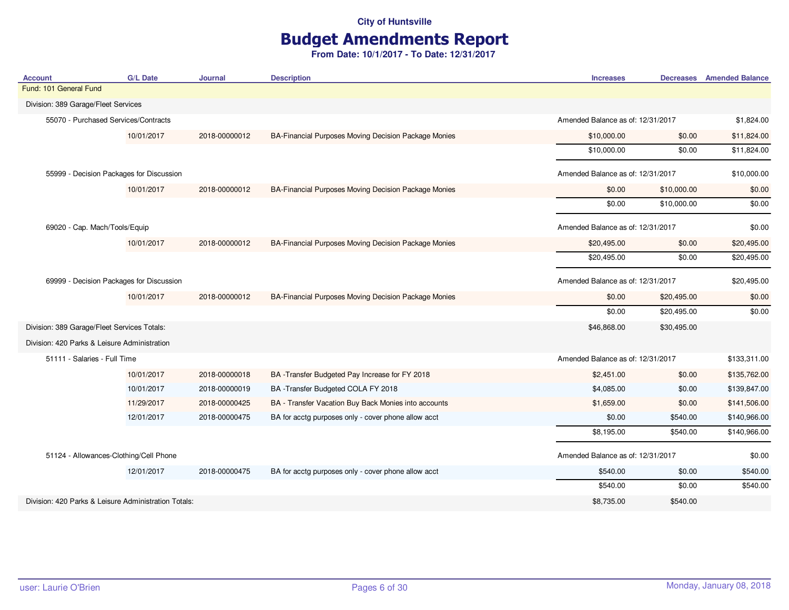## Budget Amendments Report

| <b>Account</b>                                       | <b>G/L Date</b> | Journal       | <b>Description</b>                                   | <b>Increases</b>                  |             | <b>Decreases</b> Amended Balance |
|------------------------------------------------------|-----------------|---------------|------------------------------------------------------|-----------------------------------|-------------|----------------------------------|
| Fund: 101 General Fund                               |                 |               |                                                      |                                   |             |                                  |
| Division: 389 Garage/Fleet Services                  |                 |               |                                                      |                                   |             |                                  |
| 55070 - Purchased Services/Contracts                 |                 |               |                                                      | Amended Balance as of: 12/31/2017 |             | \$1,824.00                       |
|                                                      | 10/01/2017      | 2018-00000012 | BA-Financial Purposes Moving Decision Package Monies | \$10,000.00                       | \$0.00      | \$11,824.00                      |
|                                                      |                 |               |                                                      | \$10,000.00                       | \$0.00      | \$11,824.00                      |
| 55999 - Decision Packages for Discussion             |                 |               |                                                      | Amended Balance as of: 12/31/2017 |             | \$10,000.00                      |
|                                                      | 10/01/2017      | 2018-00000012 | BA-Financial Purposes Moving Decision Package Monies | \$0.00                            | \$10,000.00 | \$0.00                           |
|                                                      |                 |               |                                                      | \$0.00                            | \$10,000.00 | \$0.00                           |
| 69020 - Cap. Mach/Tools/Equip                        |                 |               |                                                      | Amended Balance as of: 12/31/2017 |             | \$0.00                           |
|                                                      | 10/01/2017      | 2018-00000012 | BA-Financial Purposes Moving Decision Package Monies | \$20,495.00                       | \$0.00      | \$20,495.00                      |
|                                                      |                 |               |                                                      | \$20,495.00                       | \$0.00      | \$20,495.00                      |
| 69999 - Decision Packages for Discussion             |                 |               |                                                      | Amended Balance as of: 12/31/2017 |             | \$20,495.00                      |
|                                                      | 10/01/2017      | 2018-00000012 | BA-Financial Purposes Moving Decision Package Monies | \$0.00                            | \$20,495.00 | \$0.00                           |
|                                                      |                 |               |                                                      | \$0.00                            | \$20,495.00 | \$0.00                           |
| Division: 389 Garage/Fleet Services Totals:          |                 |               |                                                      | \$46,868.00                       | \$30,495.00 |                                  |
| Division: 420 Parks & Leisure Administration         |                 |               |                                                      |                                   |             |                                  |
| 51111 - Salaries - Full Time                         |                 |               |                                                      | Amended Balance as of: 12/31/2017 |             | \$133,311.00                     |
|                                                      | 10/01/2017      | 2018-00000018 | BA -Transfer Budgeted Pay Increase for FY 2018       | \$2,451.00                        | \$0.00      | \$135,762.00                     |
|                                                      | 10/01/2017      | 2018-00000019 | BA-Transfer Budgeted COLA FY 2018                    | \$4,085.00                        | \$0.00      | \$139,847.00                     |
|                                                      | 11/29/2017      | 2018-00000425 | BA - Transfer Vacation Buy Back Monies into accounts | \$1,659.00                        | \$0.00      | \$141,506.00                     |
|                                                      | 12/01/2017      | 2018-00000475 | BA for acctg purposes only - cover phone allow acct  | \$0.00                            | \$540.00    | \$140,966.00                     |
|                                                      |                 |               |                                                      | \$8,195.00                        | \$540.00    | \$140,966.00                     |
| 51124 - Allowances-Clothing/Cell Phone               |                 |               |                                                      | Amended Balance as of: 12/31/2017 |             | \$0.00                           |
|                                                      | 12/01/2017      | 2018-00000475 | BA for acctg purposes only - cover phone allow acct  | \$540.00                          | \$0.00      | \$540.00                         |
|                                                      |                 |               |                                                      | \$540.00                          | \$0.00      | \$540.00                         |
| Division: 420 Parks & Leisure Administration Totals: |                 |               |                                                      | \$8,735.00                        | \$540.00    |                                  |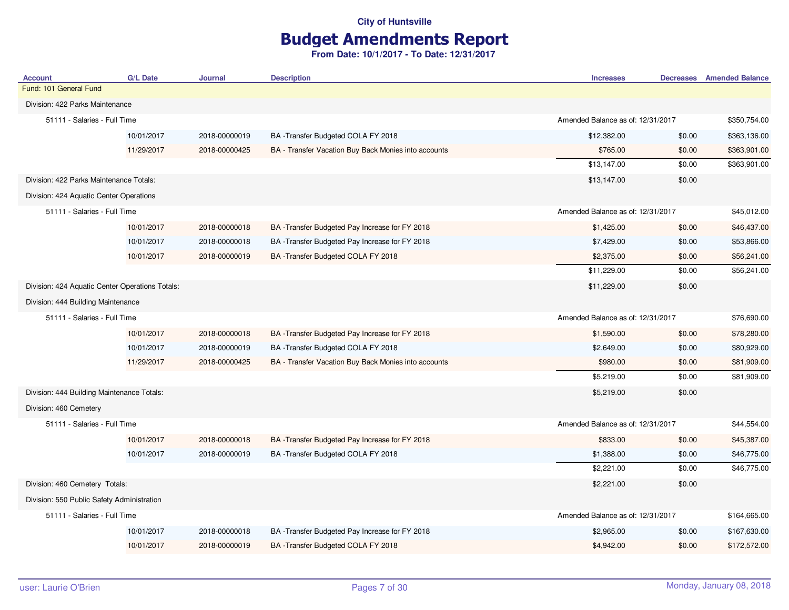# Budget Amendments Report

| <b>Account</b>                                  | <b>G/L Date</b>              | Journal       | <b>Description</b>                                   | <b>Increases</b>                  |        | <b>Decreases</b> Amended Balance |
|-------------------------------------------------|------------------------------|---------------|------------------------------------------------------|-----------------------------------|--------|----------------------------------|
| Fund: 101 General Fund                          |                              |               |                                                      |                                   |        |                                  |
| Division: 422 Parks Maintenance                 |                              |               |                                                      |                                   |        |                                  |
| 51111 - Salaries - Full Time                    |                              |               |                                                      | Amended Balance as of: 12/31/2017 |        | \$350,754.00                     |
|                                                 | 10/01/2017                   | 2018-00000019 | BA-Transfer Budgeted COLA FY 2018                    | \$12,382.00                       | \$0.00 | \$363,136.00                     |
|                                                 | 11/29/2017                   | 2018-00000425 | BA - Transfer Vacation Buy Back Monies into accounts | \$765.00                          | \$0.00 | \$363,901.00                     |
|                                                 |                              |               |                                                      | \$13,147.00                       | \$0.00 | \$363,901.00                     |
| Division: 422 Parks Maintenance Totals:         |                              |               |                                                      | \$13,147.00                       | \$0.00 |                                  |
| Division: 424 Aquatic Center Operations         |                              |               |                                                      |                                   |        |                                  |
|                                                 | 51111 - Salaries - Full Time |               |                                                      | Amended Balance as of: 12/31/2017 |        | \$45,012.00                      |
|                                                 | 10/01/2017                   | 2018-00000018 | BA -Transfer Budgeted Pay Increase for FY 2018       | \$1,425.00                        | \$0.00 | \$46,437.00                      |
|                                                 | 10/01/2017                   | 2018-00000018 | BA -Transfer Budgeted Pay Increase for FY 2018       | \$7,429.00                        | \$0.00 | \$53,866.00                      |
|                                                 | 10/01/2017                   | 2018-00000019 | BA -Transfer Budgeted COLA FY 2018                   | \$2,375.00                        | \$0.00 | \$56,241.00                      |
|                                                 |                              |               |                                                      | \$11,229.00                       | \$0.00 | \$56,241.00                      |
| Division: 424 Aquatic Center Operations Totals: |                              |               |                                                      | \$11,229.00                       | \$0.00 |                                  |
| Division: 444 Building Maintenance              |                              |               |                                                      |                                   |        |                                  |
| 51111 - Salaries - Full Time                    |                              |               |                                                      | Amended Balance as of: 12/31/2017 |        | \$76,690.00                      |
|                                                 | 10/01/2017                   | 2018-00000018 | BA -Transfer Budgeted Pay Increase for FY 2018       | \$1,590.00                        | \$0.00 | \$78,280.00                      |
|                                                 | 10/01/2017                   | 2018-00000019 | BA-Transfer Budgeted COLA FY 2018                    | \$2,649.00                        | \$0.00 | \$80,929.00                      |
|                                                 | 11/29/2017                   | 2018-00000425 | BA - Transfer Vacation Buy Back Monies into accounts | \$980.00                          | \$0.00 | \$81,909.00                      |
|                                                 |                              |               |                                                      | \$5,219.00                        | \$0.00 | \$81,909.00                      |
| Division: 444 Building Maintenance Totals:      |                              |               |                                                      | \$5,219.00                        | \$0.00 |                                  |
| Division: 460 Cemetery                          |                              |               |                                                      |                                   |        |                                  |
| 51111 - Salaries - Full Time                    |                              |               |                                                      | Amended Balance as of: 12/31/2017 |        | \$44,554.00                      |
|                                                 | 10/01/2017                   | 2018-00000018 | BA -Transfer Budgeted Pay Increase for FY 2018       | \$833.00                          | \$0.00 | \$45,387.00                      |
|                                                 | 10/01/2017                   | 2018-00000019 | BA-Transfer Budgeted COLA FY 2018                    | \$1,388.00                        | \$0.00 | \$46,775.00                      |
|                                                 |                              |               |                                                      | \$2,221.00                        | \$0.00 | \$46,775.00                      |
| Division: 460 Cemetery Totals:                  |                              |               |                                                      | \$2,221.00                        | \$0.00 |                                  |
| Division: 550 Public Safety Administration      |                              |               |                                                      |                                   |        |                                  |
| 51111 - Salaries - Full Time                    |                              |               |                                                      | Amended Balance as of: 12/31/2017 |        | \$164,665.00                     |
|                                                 | 10/01/2017                   | 2018-00000018 | BA-Transfer Budgeted Pay Increase for FY 2018        | \$2,965.00                        | \$0.00 | \$167,630.00                     |
|                                                 | 10/01/2017                   | 2018-00000019 | BA -Transfer Budgeted COLA FY 2018                   | \$4,942.00                        | \$0.00 | \$172,572.00                     |
|                                                 |                              |               |                                                      |                                   |        |                                  |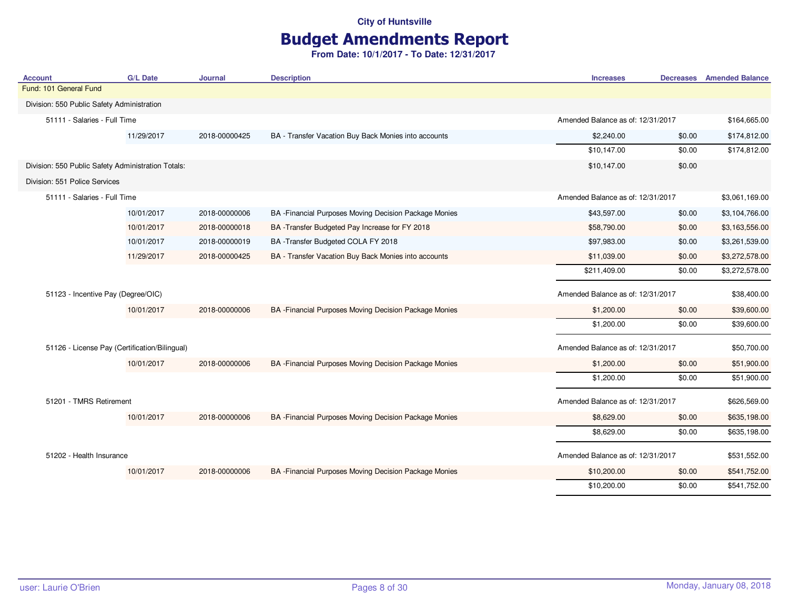# Budget Amendments Report

| <b>Account</b>                                     | <b>G/L Date</b> | <b>Journal</b> | <b>Description</b>                                     | <b>Increases</b>                  | <b>Decreases</b> Amended Balance |
|----------------------------------------------------|-----------------|----------------|--------------------------------------------------------|-----------------------------------|----------------------------------|
| Fund: 101 General Fund                             |                 |                |                                                        |                                   |                                  |
| Division: 550 Public Safety Administration         |                 |                |                                                        |                                   |                                  |
| 51111 - Salaries - Full Time                       |                 |                |                                                        | Amended Balance as of: 12/31/2017 | \$164,665.00                     |
|                                                    | 11/29/2017      | 2018-00000425  | BA - Transfer Vacation Buy Back Monies into accounts   | \$2,240.00                        | \$0.00<br>\$174,812.00           |
|                                                    |                 |                |                                                        | \$10,147.00                       | \$0.00<br>\$174,812.00           |
| Division: 550 Public Safety Administration Totals: |                 |                |                                                        | \$10,147.00                       | \$0.00                           |
| Division: 551 Police Services                      |                 |                |                                                        |                                   |                                  |
| 51111 - Salaries - Full Time                       |                 |                |                                                        | Amended Balance as of: 12/31/2017 | \$3,061,169.00                   |
|                                                    | 10/01/2017      | 2018-00000006  | BA - Financial Purposes Moving Decision Package Monies | \$43,597.00                       | \$0.00<br>\$3,104,766.00         |
|                                                    | 10/01/2017      | 2018-00000018  | BA -Transfer Budgeted Pay Increase for FY 2018         | \$58,790.00                       | \$3,163,556.00<br>\$0.00         |
|                                                    | 10/01/2017      | 2018-00000019  | BA -Transfer Budgeted COLA FY 2018                     | \$97,983.00                       | \$0.00<br>\$3,261,539.00         |
|                                                    | 11/29/2017      | 2018-00000425  | BA - Transfer Vacation Buy Back Monies into accounts   | \$11,039.00                       | \$0.00<br>\$3,272,578.00         |
|                                                    |                 |                |                                                        | \$211,409.00                      | \$3,272,578.00<br>\$0.00         |
| 51123 - Incentive Pay (Degree/OIC)                 |                 |                |                                                        | Amended Balance as of: 12/31/2017 | \$38,400.00                      |
|                                                    | 10/01/2017      | 2018-00000006  | BA - Financial Purposes Moving Decision Package Monies | \$1,200.00                        | \$39,600.00<br>\$0.00            |
|                                                    |                 |                |                                                        | \$1,200.00                        | \$0.00<br>\$39,600.00            |
| 51126 - License Pay (Certification/Bilingual)      |                 |                |                                                        | Amended Balance as of: 12/31/2017 | \$50,700.00                      |
|                                                    | 10/01/2017      | 2018-00000006  | BA - Financial Purposes Moving Decision Package Monies | \$1,200.00                        | \$51,900.00<br>\$0.00            |
|                                                    |                 |                |                                                        | \$1,200.00                        | \$0.00<br>\$51,900.00            |
| 51201 - TMRS Retirement                            |                 |                |                                                        | Amended Balance as of: 12/31/2017 | \$626,569.00                     |
|                                                    | 10/01/2017      | 2018-00000006  | BA - Financial Purposes Moving Decision Package Monies | \$8,629.00                        | \$0.00<br>\$635,198.00           |
|                                                    |                 |                |                                                        | \$8,629.00                        | \$0.00<br>\$635,198.00           |
| 51202 - Health Insurance                           |                 |                |                                                        | Amended Balance as of: 12/31/2017 | \$531,552.00                     |
|                                                    | 10/01/2017      | 2018-00000006  | BA - Financial Purposes Moving Decision Package Monies | \$10,200.00                       | \$541,752.00<br>\$0.00           |
|                                                    |                 |                |                                                        | \$10,200.00                       | \$0.00<br>\$541,752.00           |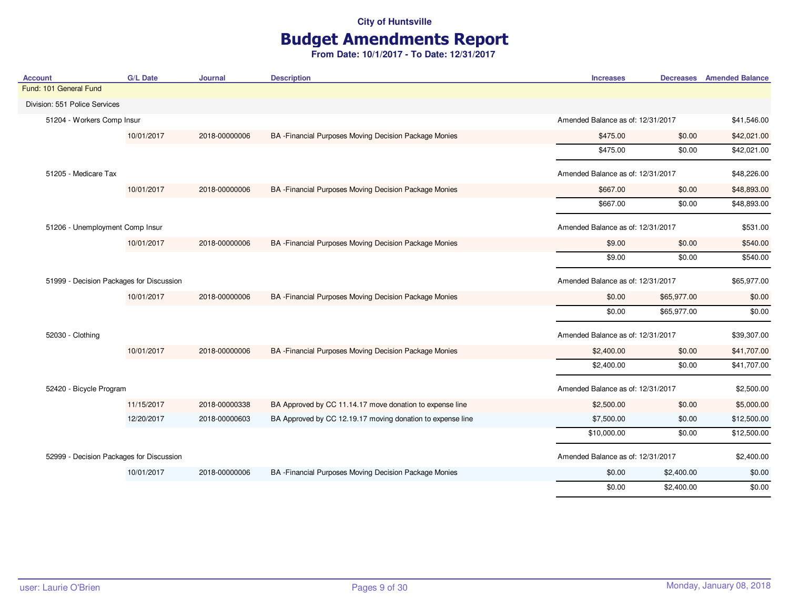# Budget Amendments Report

| <b>Account</b>                           | <b>G/L Date</b> | <b>Journal</b> | <b>Description</b>                                         | <b>Increases</b>                  |                                   | <b>Decreases</b> Amended Balance |
|------------------------------------------|-----------------|----------------|------------------------------------------------------------|-----------------------------------|-----------------------------------|----------------------------------|
| Fund: 101 General Fund                   |                 |                |                                                            |                                   |                                   |                                  |
| Division: 551 Police Services            |                 |                |                                                            |                                   |                                   |                                  |
| 51204 - Workers Comp Insur               |                 |                |                                                            | Amended Balance as of: 12/31/2017 |                                   | \$41,546.00                      |
|                                          | 10/01/2017      | 2018-00000006  | BA - Financial Purposes Moving Decision Package Monies     | \$475.00                          | \$0.00                            | \$42,021.00                      |
|                                          |                 |                |                                                            | \$475.00                          | \$0.00                            | \$42,021.00                      |
| 51205 - Medicare Tax                     |                 |                |                                                            | Amended Balance as of: 12/31/2017 |                                   | \$48,226.00                      |
|                                          | 10/01/2017      | 2018-00000006  | BA - Financial Purposes Moving Decision Package Monies     | \$667.00                          | \$0.00                            | \$48,893.00                      |
|                                          |                 |                |                                                            | \$667.00                          | \$0.00                            | \$48,893.00                      |
| 51206 - Unemployment Comp Insur          |                 |                |                                                            |                                   | Amended Balance as of: 12/31/2017 |                                  |
|                                          | 10/01/2017      | 2018-00000006  | BA - Financial Purposes Moving Decision Package Monies     | \$9.00                            | \$0.00                            | \$540.00                         |
|                                          |                 |                |                                                            | \$9.00                            | \$0.00                            | \$540.00                         |
| 51999 - Decision Packages for Discussion |                 |                |                                                            | Amended Balance as of: 12/31/2017 |                                   | \$65,977.00                      |
|                                          | 10/01/2017      | 2018-00000006  | BA - Financial Purposes Moving Decision Package Monies     | \$0.00                            | \$65,977.00                       | \$0.00                           |
|                                          |                 |                |                                                            | \$0.00                            | \$65,977.00                       | \$0.00                           |
| 52030 - Clothing                         |                 |                |                                                            |                                   | Amended Balance as of: 12/31/2017 |                                  |
|                                          | 10/01/2017      | 2018-00000006  | BA - Financial Purposes Moving Decision Package Monies     | \$2,400.00                        | \$0.00                            | \$41,707.00                      |
|                                          |                 |                |                                                            | \$2,400.00                        | \$0.00                            | \$41,707.00                      |
| 52420 - Bicycle Program                  |                 |                |                                                            | Amended Balance as of: 12/31/2017 |                                   | \$2,500.00                       |
|                                          | 11/15/2017      | 2018-00000338  | BA Approved by CC 11.14.17 move donation to expense line   | \$2,500.00                        | \$0.00                            | \$5,000.00                       |
|                                          | 12/20/2017      | 2018-00000603  | BA Approved by CC 12.19.17 moving donation to expense line | \$7,500.00                        | \$0.00                            | \$12,500.00                      |
|                                          |                 |                |                                                            | \$10,000.00                       | \$0.00                            | \$12,500.00                      |
| 52999 - Decision Packages for Discussion |                 |                |                                                            | Amended Balance as of: 12/31/2017 |                                   | \$2,400.00                       |
|                                          | 10/01/2017      | 2018-00000006  | BA - Financial Purposes Moving Decision Package Monies     | \$0.00                            | \$2,400.00                        | \$0.00                           |
|                                          |                 |                |                                                            | \$0.00                            | \$2,400.00                        | \$0.00                           |
|                                          |                 |                |                                                            |                                   |                                   |                                  |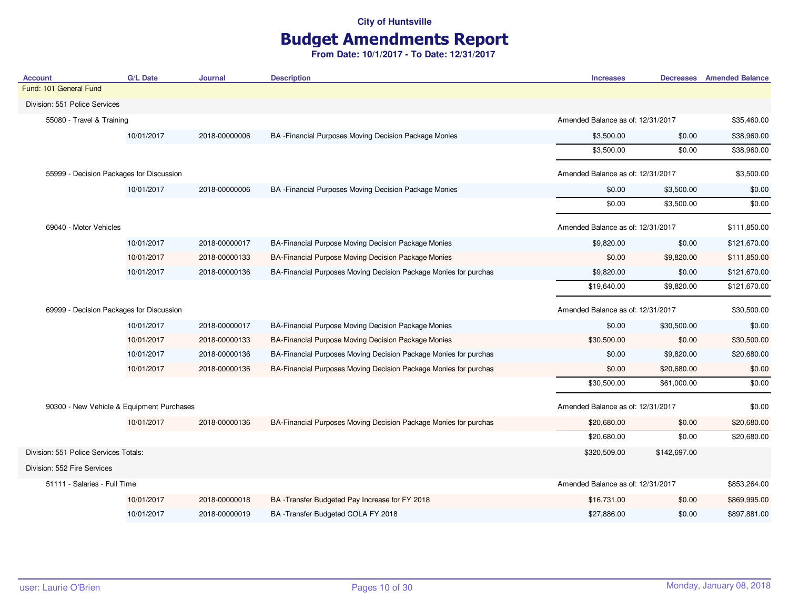# Budget Amendments Report

| <b>Account</b>                            | <b>G/L Date</b> | <b>Journal</b>                    | <b>Description</b>                                               | <b>Increases</b>                  |              | <b>Decreases</b> Amended Balance |
|-------------------------------------------|-----------------|-----------------------------------|------------------------------------------------------------------|-----------------------------------|--------------|----------------------------------|
| Fund: 101 General Fund                    |                 |                                   |                                                                  |                                   |              |                                  |
| Division: 551 Police Services             |                 |                                   |                                                                  |                                   |              |                                  |
| 55080 - Travel & Training                 |                 |                                   |                                                                  | Amended Balance as of: 12/31/2017 |              | \$35,460.00                      |
|                                           | 10/01/2017      | 2018-00000006                     | BA - Financial Purposes Moving Decision Package Monies           | \$3,500.00                        | \$0.00       | \$38,960.00                      |
|                                           |                 |                                   |                                                                  | \$3,500.00                        | \$0.00       | \$38,960.00                      |
| 55999 - Decision Packages for Discussion  |                 |                                   |                                                                  | Amended Balance as of: 12/31/2017 |              | \$3,500.00                       |
|                                           | 10/01/2017      | 2018-00000006                     | BA - Financial Purposes Moving Decision Package Monies           | \$0.00                            | \$3,500.00   | \$0.00                           |
|                                           |                 |                                   |                                                                  | \$0.00                            | \$3,500.00   | \$0.00                           |
| 69040 - Motor Vehicles                    |                 |                                   |                                                                  | Amended Balance as of: 12/31/2017 |              | \$111,850.00                     |
|                                           | 10/01/2017      | 2018-00000017                     | BA-Financial Purpose Moving Decision Package Monies              | \$9,820.00                        | \$0.00       | \$121,670.00                     |
|                                           | 10/01/2017      | 2018-00000133                     | BA-Financial Purpose Moving Decision Package Monies              | \$0.00                            | \$9,820.00   | \$111,850.00                     |
|                                           | 10/01/2017      | 2018-00000136                     | BA-Financial Purposes Moving Decision Package Monies for purchas | \$9,820.00                        | \$0.00       | \$121,670.00                     |
|                                           |                 |                                   |                                                                  | \$19,640.00                       | \$9,820.00   | \$121,670.00                     |
| 69999 - Decision Packages for Discussion  |                 | Amended Balance as of: 12/31/2017 |                                                                  | \$30,500.00                       |              |                                  |
|                                           | 10/01/2017      | 2018-00000017                     | BA-Financial Purpose Moving Decision Package Monies              | \$0.00                            | \$30,500.00  | \$0.00                           |
|                                           | 10/01/2017      | 2018-00000133                     | BA-Financial Purpose Moving Decision Package Monies              | \$30,500.00                       | \$0.00       | \$30,500.00                      |
|                                           | 10/01/2017      | 2018-00000136                     | BA-Financial Purposes Moving Decision Package Monies for purchas | \$0.00                            | \$9,820.00   | \$20,680.00                      |
|                                           | 10/01/2017      | 2018-00000136                     | BA-Financial Purposes Moving Decision Package Monies for purchas | \$0.00                            | \$20,680.00  | \$0.00                           |
|                                           |                 |                                   |                                                                  | \$30,500.00                       | \$61,000.00  | \$0.00                           |
| 90300 - New Vehicle & Equipment Purchases |                 |                                   |                                                                  | Amended Balance as of: 12/31/2017 |              | \$0.00                           |
|                                           | 10/01/2017      | 2018-00000136                     | BA-Financial Purposes Moving Decision Package Monies for purchas | \$20,680.00                       | \$0.00       | \$20,680.00                      |
|                                           |                 |                                   |                                                                  | \$20,680.00                       | \$0.00       | \$20,680.00                      |
| Division: 551 Police Services Totals:     |                 |                                   |                                                                  | \$320,509.00                      | \$142,697.00 |                                  |
| Division: 552 Fire Services               |                 |                                   |                                                                  |                                   |              |                                  |
| 51111 - Salaries - Full Time              |                 |                                   |                                                                  | Amended Balance as of: 12/31/2017 |              | \$853,264.00                     |
|                                           | 10/01/2017      | 2018-00000018                     | BA -Transfer Budgeted Pay Increase for FY 2018                   | \$16,731.00                       | \$0.00       | \$869,995.00                     |
|                                           | 10/01/2017      | 2018-00000019                     | BA -Transfer Budgeted COLA FY 2018                               | \$27,886.00                       | \$0.00       | \$897,881.00                     |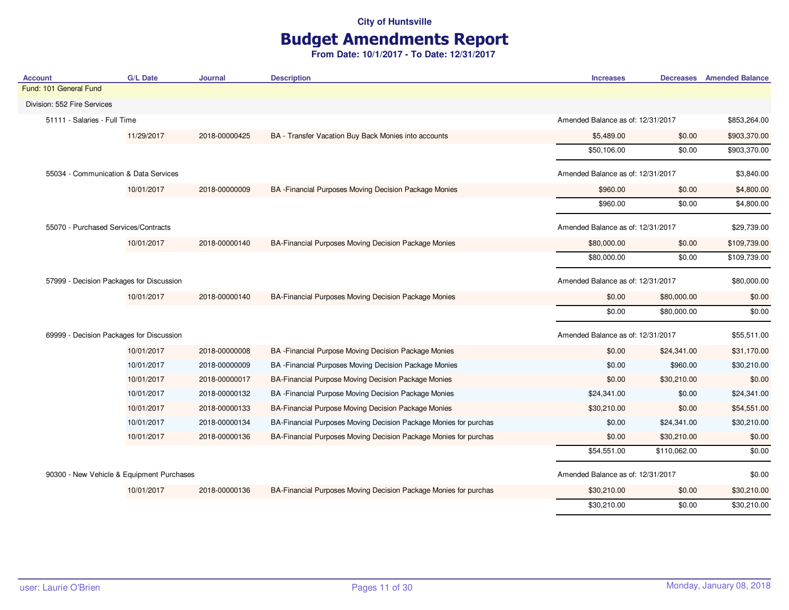# Budget Amendments Report

| <b>Account</b>                            | <b>G/L Date</b>                          | <b>Journal</b> | <b>Description</b>                                               | <b>Increases</b>                  |                                   | Decreases Amended Balance |
|-------------------------------------------|------------------------------------------|----------------|------------------------------------------------------------------|-----------------------------------|-----------------------------------|---------------------------|
| Fund: 101 General Fund                    |                                          |                |                                                                  |                                   |                                   |                           |
| Division: 552 Fire Services               |                                          |                |                                                                  |                                   |                                   |                           |
| 51111 - Salaries - Full Time              |                                          |                |                                                                  |                                   | Amended Balance as of: 12/31/2017 |                           |
|                                           | 11/29/2017                               | 2018-00000425  | BA - Transfer Vacation Buy Back Monies into accounts             | \$5,489.00                        | \$0.00                            | \$903,370.00              |
|                                           |                                          |                |                                                                  | \$50,106.00                       | \$0.00                            | \$903,370.00              |
| 55034 - Communication & Data Services     |                                          |                |                                                                  | Amended Balance as of: 12/31/2017 |                                   | \$3,840.00                |
|                                           | 10/01/2017                               | 2018-00000009  | BA - Financial Purposes Moving Decision Package Monies           | \$960.00                          | \$0.00                            | \$4,800.00                |
|                                           |                                          |                |                                                                  | \$960.00                          | \$0.00                            | \$4,800.00                |
| 55070 - Purchased Services/Contracts      |                                          |                |                                                                  | Amended Balance as of: 12/31/2017 |                                   | \$29,739.00               |
|                                           | 10/01/2017                               | 2018-00000140  | BA-Financial Purposes Moving Decision Package Monies             | \$80,000.00                       | \$0.00                            | \$109,739.00              |
|                                           |                                          |                |                                                                  | \$80,000.00                       | \$0.00                            | \$109,739.00              |
|                                           | 57999 - Decision Packages for Discussion |                |                                                                  |                                   | Amended Balance as of: 12/31/2017 | \$80,000.00               |
|                                           | 10/01/2017                               | 2018-00000140  | BA-Financial Purposes Moving Decision Package Monies             | \$0.00                            | \$80,000.00                       | \$0.00                    |
|                                           |                                          |                |                                                                  | \$0.00                            | \$80,000.00                       | \$0.00                    |
| 69999 - Decision Packages for Discussion  |                                          |                |                                                                  | Amended Balance as of: 12/31/2017 |                                   | \$55,511.00               |
|                                           | 10/01/2017                               | 2018-00000008  | BA - Financial Purpose Moving Decision Package Monies            | \$0.00                            | \$24,341.00                       | \$31,170.00               |
|                                           | 10/01/2017                               | 2018-00000009  | BA - Financial Purposes Moving Decision Package Monies           | \$0.00                            | \$960.00                          | \$30,210.00               |
|                                           | 10/01/2017                               | 2018-00000017  | BA-Financial Purpose Moving Decision Package Monies              | \$0.00                            | \$30,210.00                       | \$0.00                    |
|                                           | 10/01/2017                               | 2018-00000132  | BA - Financial Purpose Moving Decision Package Monies            | \$24,341.00                       | \$0.00                            | \$24,341.00               |
|                                           | 10/01/2017                               | 2018-00000133  | BA-Financial Purpose Moving Decision Package Monies              | \$30,210.00                       | \$0.00                            | \$54,551.00               |
|                                           | 10/01/2017                               | 2018-00000134  | BA-Financial Purposes Moving Decision Package Monies for purchas | \$0.00                            | \$24,341.00                       | \$30,210.00               |
|                                           | 10/01/2017                               | 2018-00000136  | BA-Financial Purposes Moving Decision Package Monies for purchas | \$0.00                            | \$30,210.00                       | \$0.00                    |
|                                           |                                          |                |                                                                  | \$54,551.00                       | \$110,062.00                      | \$0.00                    |
| 90300 - New Vehicle & Equipment Purchases |                                          |                |                                                                  | Amended Balance as of: 12/31/2017 |                                   | \$0.00                    |
|                                           | 10/01/2017                               | 2018-00000136  | BA-Financial Purposes Moving Decision Package Monies for purchas | \$30,210.00                       | \$0.00                            | \$30,210.00               |
|                                           |                                          |                |                                                                  | \$30,210.00                       | \$0.00                            | \$30,210.00               |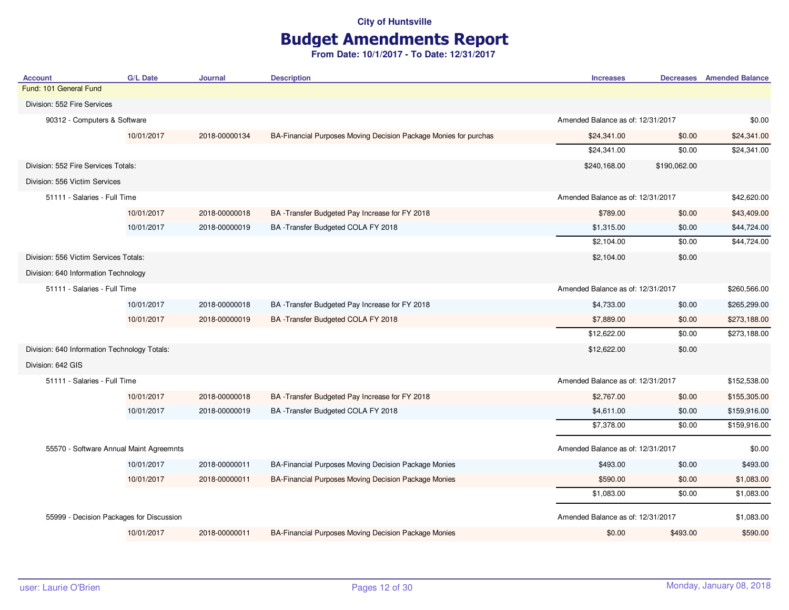# Budget Amendments Report

| <b>Account</b>                               | <b>G/L Date</b> | Journal       | <b>Description</b>                                               | <b>Increases</b>                  |                                   | <b>Decreases</b> Amended Balance |
|----------------------------------------------|-----------------|---------------|------------------------------------------------------------------|-----------------------------------|-----------------------------------|----------------------------------|
| Fund: 101 General Fund                       |                 |               |                                                                  |                                   |                                   |                                  |
| Division: 552 Fire Services                  |                 |               |                                                                  |                                   |                                   |                                  |
| 90312 - Computers & Software                 |                 |               |                                                                  |                                   | Amended Balance as of: 12/31/2017 |                                  |
|                                              | 10/01/2017      | 2018-00000134 | BA-Financial Purposes Moving Decision Package Monies for purchas | \$24,341.00                       | \$0.00                            | \$24,341.00                      |
|                                              |                 |               |                                                                  | \$24,341.00                       | \$0.00                            | \$24,341.00                      |
| Division: 552 Fire Services Totals:          |                 |               |                                                                  | \$240,168.00                      | \$190,062.00                      |                                  |
| Division: 556 Victim Services                |                 |               |                                                                  |                                   |                                   |                                  |
| 51111 - Salaries - Full Time                 |                 |               |                                                                  | Amended Balance as of: 12/31/2017 |                                   | \$42,620.00                      |
|                                              | 10/01/2017      | 2018-00000018 | BA -Transfer Budgeted Pay Increase for FY 2018                   | \$789.00                          | \$0.00                            | \$43,409.00                      |
|                                              | 10/01/2017      | 2018-00000019 | BA -Transfer Budgeted COLA FY 2018                               | \$1,315.00                        | \$0.00                            | \$44,724.00                      |
|                                              |                 |               |                                                                  | \$2,104.00                        | \$0.00                            | \$44,724.00                      |
| Division: 556 Victim Services Totals:        |                 |               |                                                                  | \$2,104.00                        | \$0.00                            |                                  |
| Division: 640 Information Technology         |                 |               |                                                                  |                                   |                                   |                                  |
| 51111 - Salaries - Full Time                 |                 |               |                                                                  | Amended Balance as of: 12/31/2017 |                                   | \$260,566.00                     |
|                                              | 10/01/2017      | 2018-00000018 | BA -Transfer Budgeted Pay Increase for FY 2018                   | \$4,733.00                        | \$0.00                            | \$265,299.00                     |
|                                              | 10/01/2017      | 2018-00000019 | BA -Transfer Budgeted COLA FY 2018                               | \$7,889.00                        | \$0.00                            | \$273,188.00                     |
|                                              |                 |               |                                                                  | \$12,622.00                       | \$0.00                            | \$273,188.00                     |
| Division: 640 Information Technology Totals: |                 |               |                                                                  | \$12,622.00                       | \$0.00                            |                                  |
| Division: 642 GIS                            |                 |               |                                                                  |                                   |                                   |                                  |
| 51111 - Salaries - Full Time                 |                 |               |                                                                  | Amended Balance as of: 12/31/2017 |                                   | \$152,538.00                     |
|                                              | 10/01/2017      | 2018-00000018 | BA -Transfer Budgeted Pay Increase for FY 2018                   | \$2,767.00                        | \$0.00                            | \$155,305.00                     |
|                                              | 10/01/2017      | 2018-00000019 | BA -Transfer Budgeted COLA FY 2018                               | \$4,611.00                        | \$0.00                            | \$159,916.00                     |
|                                              |                 |               |                                                                  | \$7,378.00                        | \$0.00                            | \$159,916.00                     |
|                                              |                 |               |                                                                  |                                   |                                   |                                  |
| 55570 - Software Annual Maint Agreemnts      |                 |               |                                                                  | Amended Balance as of: 12/31/2017 |                                   | \$0.00                           |
|                                              | 10/01/2017      | 2018-00000011 | BA-Financial Purposes Moving Decision Package Monies             | \$493.00                          | \$0.00                            | \$493.00                         |
|                                              | 10/01/2017      | 2018-00000011 | BA-Financial Purposes Moving Decision Package Monies             | \$590.00                          | \$0.00                            | \$1,083.00                       |
|                                              |                 |               |                                                                  | \$1,083.00                        | \$0.00                            | \$1,083.00                       |
| 55999 - Decision Packages for Discussion     |                 |               |                                                                  | Amended Balance as of: 12/31/2017 |                                   | \$1,083.00                       |
|                                              | 10/01/2017      | 2018-00000011 | BA-Financial Purposes Moving Decision Package Monies             | \$0.00                            | \$493.00                          | \$590.00                         |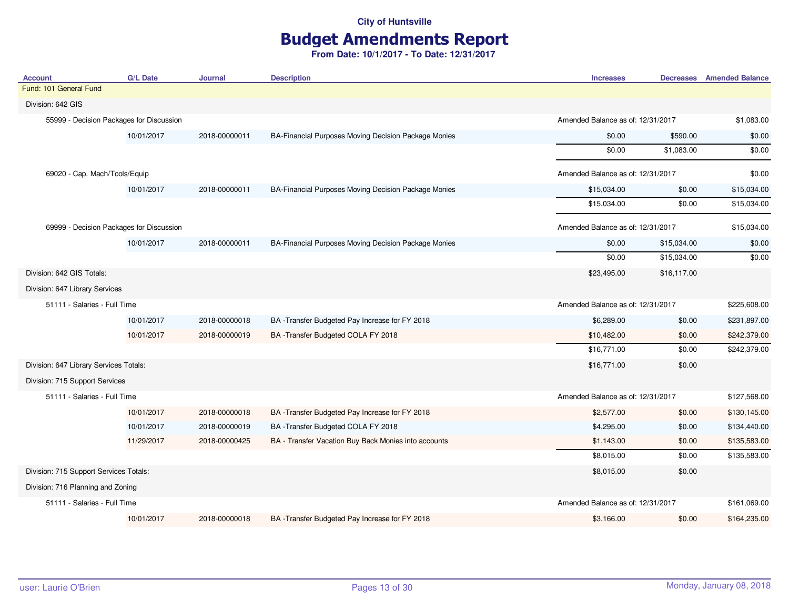# Budget Amendments Report

| <b>Account</b>                           | <b>G/L Date</b> | <b>Journal</b> | <b>Description</b>                                   | <b>Increases</b>                  |                                   | <b>Decreases</b> Amended Balance |
|------------------------------------------|-----------------|----------------|------------------------------------------------------|-----------------------------------|-----------------------------------|----------------------------------|
| Fund: 101 General Fund                   |                 |                |                                                      |                                   |                                   |                                  |
| Division: 642 GIS                        |                 |                |                                                      |                                   |                                   |                                  |
| 55999 - Decision Packages for Discussion |                 |                |                                                      | Amended Balance as of: 12/31/2017 |                                   | \$1,083.00                       |
|                                          | 10/01/2017      | 2018-00000011  | BA-Financial Purposes Moving Decision Package Monies | \$0.00                            | \$590.00                          | \$0.00                           |
|                                          |                 |                |                                                      | \$0.00                            | \$1,083.00                        | \$0.00                           |
| 69020 - Cap. Mach/Tools/Equip            |                 |                |                                                      | Amended Balance as of: 12/31/2017 |                                   | \$0.00                           |
|                                          | 10/01/2017      | 2018-00000011  | BA-Financial Purposes Moving Decision Package Monies | \$15,034.00                       | \$0.00                            | \$15,034.00                      |
|                                          |                 |                |                                                      | \$15,034.00                       | \$0.00                            | \$15,034.00                      |
| 69999 - Decision Packages for Discussion |                 |                |                                                      | Amended Balance as of: 12/31/2017 |                                   | \$15,034.00                      |
|                                          | 10/01/2017      | 2018-00000011  | BA-Financial Purposes Moving Decision Package Monies | \$0.00                            | \$15,034.00                       | \$0.00                           |
|                                          |                 |                |                                                      | \$0.00                            | \$15,034.00                       | \$0.00                           |
| Division: 642 GIS Totals:                |                 |                |                                                      | \$23,495.00                       | \$16,117.00                       |                                  |
| Division: 647 Library Services           |                 |                |                                                      |                                   |                                   |                                  |
| 51111 - Salaries - Full Time             |                 |                |                                                      |                                   | Amended Balance as of: 12/31/2017 |                                  |
|                                          | 10/01/2017      | 2018-00000018  | BA -Transfer Budgeted Pay Increase for FY 2018       | \$6,289.00                        | \$0.00                            | \$231,897.00                     |
|                                          | 10/01/2017      | 2018-00000019  | BA -Transfer Budgeted COLA FY 2018                   | \$10,482.00                       | \$0.00                            | \$242,379.00                     |
|                                          |                 |                |                                                      | \$16,771.00                       | \$0.00                            | \$242,379.00                     |
| Division: 647 Library Services Totals:   |                 |                |                                                      | \$16,771.00                       | \$0.00                            |                                  |
| Division: 715 Support Services           |                 |                |                                                      |                                   |                                   |                                  |
| 51111 - Salaries - Full Time             |                 |                |                                                      | Amended Balance as of: 12/31/2017 |                                   | \$127,568.00                     |
|                                          | 10/01/2017      | 2018-00000018  | BA -Transfer Budgeted Pay Increase for FY 2018       | \$2,577.00                        | \$0.00                            | \$130,145.00                     |
|                                          | 10/01/2017      | 2018-00000019  | BA -Transfer Budgeted COLA FY 2018                   | \$4,295.00                        | \$0.00                            | \$134,440.00                     |
|                                          | 11/29/2017      | 2018-00000425  | BA - Transfer Vacation Buy Back Monies into accounts | \$1,143.00                        | \$0.00                            | \$135,583.00                     |
|                                          |                 |                |                                                      | \$8,015.00                        | \$0.00                            | \$135,583.00                     |
| Division: 715 Support Services Totals:   |                 |                |                                                      | \$8,015.00                        | \$0.00                            |                                  |
| Division: 716 Planning and Zoning        |                 |                |                                                      |                                   |                                   |                                  |
| 51111 - Salaries - Full Time             |                 |                |                                                      | Amended Balance as of: 12/31/2017 |                                   | \$161,069.00                     |
|                                          | 10/01/2017      | 2018-00000018  | BA -Transfer Budgeted Pay Increase for FY 2018       | \$3,166.00                        | \$0.00                            | \$164,235.00                     |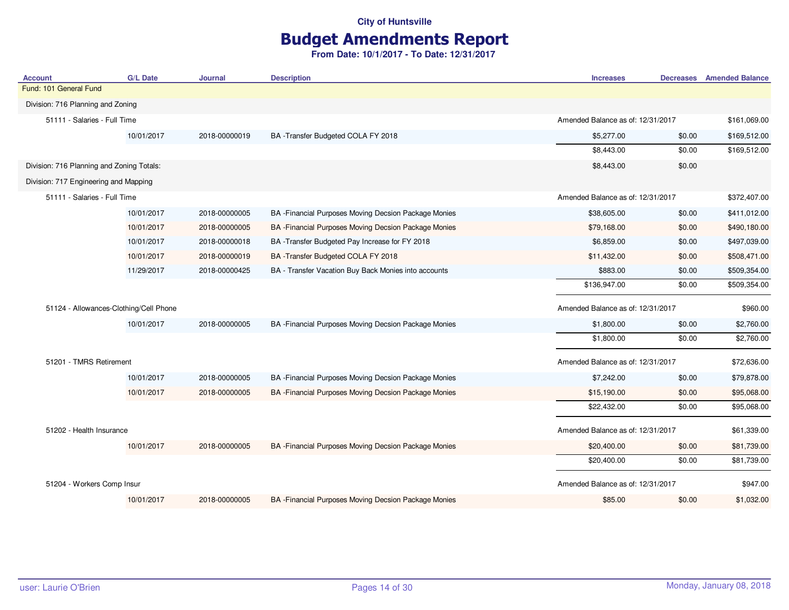# Budget Amendments Report

| <b>Account</b>                            | <b>G/L Date</b> | Journal       | <b>Description</b>                                    | <b>Increases</b>                  | <b>Decreases</b> Amended Balance |
|-------------------------------------------|-----------------|---------------|-------------------------------------------------------|-----------------------------------|----------------------------------|
| Fund: 101 General Fund                    |                 |               |                                                       |                                   |                                  |
| Division: 716 Planning and Zoning         |                 |               |                                                       |                                   |                                  |
| 51111 - Salaries - Full Time              |                 |               |                                                       | Amended Balance as of: 12/31/2017 | \$161,069.00                     |
|                                           | 10/01/2017      | 2018-00000019 | BA -Transfer Budgeted COLA FY 2018                    | \$5,277.00                        | \$0.00<br>\$169,512.00           |
|                                           |                 |               |                                                       | \$8,443.00                        | \$169,512.00<br>\$0.00           |
| Division: 716 Planning and Zoning Totals: |                 |               |                                                       | \$8,443.00                        | \$0.00                           |
| Division: 717 Engineering and Mapping     |                 |               |                                                       |                                   |                                  |
| 51111 - Salaries - Full Time              |                 |               |                                                       | Amended Balance as of: 12/31/2017 | \$372,407.00                     |
|                                           | 10/01/2017      | 2018-00000005 | BA - Financial Purposes Moving Decsion Package Monies | \$38,605.00                       | \$0.00<br>\$411,012.00           |
|                                           | 10/01/2017      | 2018-00000005 | BA - Financial Purposes Moving Decsion Package Monies | \$79,168.00                       | \$0.00<br>\$490,180.00           |
|                                           | 10/01/2017      | 2018-00000018 | BA -Transfer Budgeted Pay Increase for FY 2018        | \$6,859.00                        | \$0.00<br>\$497,039.00           |
|                                           | 10/01/2017      | 2018-00000019 | BA-Transfer Budgeted COLA FY 2018                     | \$11,432.00                       | \$508,471.00<br>\$0.00           |
|                                           | 11/29/2017      | 2018-00000425 | BA - Transfer Vacation Buy Back Monies into accounts  | \$883.00                          | \$509,354.00<br>\$0.00           |
|                                           |                 |               |                                                       | \$136,947.00                      | \$509,354.00<br>\$0.00           |
| 51124 - Allowances-Clothing/Cell Phone    |                 |               |                                                       | Amended Balance as of: 12/31/2017 | \$960.00                         |
|                                           | 10/01/2017      | 2018-00000005 | BA - Financial Purposes Moving Decsion Package Monies | \$1,800.00                        | \$2,760.00<br>\$0.00             |
|                                           |                 |               |                                                       | \$1,800.00                        | \$0.00<br>\$2,760.00             |
| 51201 - TMRS Retirement                   |                 |               |                                                       | Amended Balance as of: 12/31/2017 | \$72,636.00                      |
|                                           | 10/01/2017      | 2018-00000005 | BA - Financial Purposes Moving Decsion Package Monies | \$7,242.00                        | \$79,878.00<br>\$0.00            |
|                                           | 10/01/2017      | 2018-00000005 | BA - Financial Purposes Moving Decsion Package Monies | \$15,190.00                       | \$0.00<br>\$95,068.00            |
|                                           |                 |               |                                                       | \$22,432.00                       | \$95,068.00<br>\$0.00            |
| 51202 - Health Insurance                  |                 |               |                                                       | Amended Balance as of: 12/31/2017 | \$61,339.00                      |
|                                           | 10/01/2017      | 2018-00000005 | BA - Financial Purposes Moving Decsion Package Monies | \$20,400.00                       | \$81,739.00<br>\$0.00            |
|                                           |                 |               |                                                       | \$20,400.00                       | \$81,739.00<br>\$0.00            |
| 51204 - Workers Comp Insur                |                 |               |                                                       | Amended Balance as of: 12/31/2017 | \$947.00                         |
|                                           | 10/01/2017      | 2018-00000005 | BA - Financial Purposes Moving Decsion Package Monies | \$85.00                           | \$1,032.00<br>\$0.00             |
|                                           |                 |               |                                                       |                                   |                                  |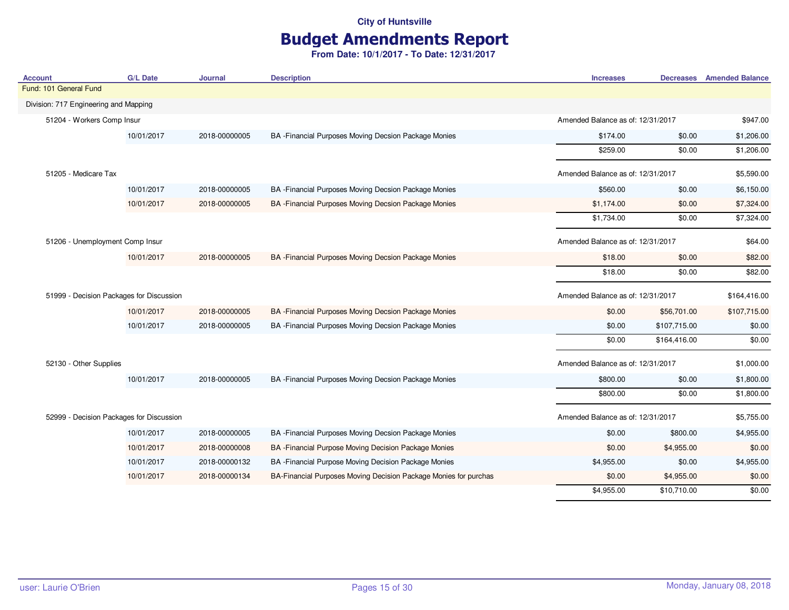# Budget Amendments Report

| <b>Account</b>                           | <b>G/L Date</b> | <b>Journal</b> | <b>Description</b>                                               | <b>Increases</b>                  |                                   | <b>Decreases</b> Amended Balance |
|------------------------------------------|-----------------|----------------|------------------------------------------------------------------|-----------------------------------|-----------------------------------|----------------------------------|
| Fund: 101 General Fund                   |                 |                |                                                                  |                                   |                                   |                                  |
| Division: 717 Engineering and Mapping    |                 |                |                                                                  |                                   |                                   |                                  |
| 51204 - Workers Comp Insur               |                 |                |                                                                  |                                   | Amended Balance as of: 12/31/2017 |                                  |
|                                          | 10/01/2017      | 2018-00000005  | BA - Financial Purposes Moving Decsion Package Monies            | \$174.00                          | \$0.00                            | \$1,206.00                       |
|                                          |                 |                |                                                                  | \$259.00                          | \$0.00                            | \$1,206.00                       |
| 51205 - Medicare Tax                     |                 |                |                                                                  | Amended Balance as of: 12/31/2017 |                                   | \$5,590.00                       |
|                                          | 10/01/2017      | 2018-00000005  | BA - Financial Purposes Moving Decsion Package Monies            | \$560.00                          | \$0.00                            | \$6,150.00                       |
|                                          | 10/01/2017      | 2018-00000005  | BA - Financial Purposes Moving Decsion Package Monies            | \$1,174.00                        | \$0.00                            | \$7,324.00                       |
|                                          |                 |                |                                                                  | \$1,734.00                        | \$0.00                            | \$7,324.00                       |
| 51206 - Unemployment Comp Insur          |                 |                |                                                                  | Amended Balance as of: 12/31/2017 |                                   | \$64.00                          |
|                                          | 10/01/2017      | 2018-00000005  | BA - Financial Purposes Moving Decsion Package Monies            | \$18.00                           | \$0.00                            | \$82.00                          |
|                                          |                 |                |                                                                  | \$18.00                           | \$0.00                            | \$82.00                          |
| 51999 - Decision Packages for Discussion |                 |                |                                                                  | Amended Balance as of: 12/31/2017 |                                   | \$164,416.00                     |
|                                          | 10/01/2017      | 2018-00000005  | BA - Financial Purposes Moving Decsion Package Monies            | \$0.00                            | \$56,701.00                       | \$107,715.00                     |
|                                          | 10/01/2017      | 2018-00000005  | BA - Financial Purposes Moving Decsion Package Monies            | \$0.00                            | \$107,715.00                      | \$0.00                           |
|                                          |                 |                |                                                                  | \$0.00                            | \$164,416.00                      | \$0.00                           |
| 52130 - Other Supplies                   |                 |                |                                                                  | Amended Balance as of: 12/31/2017 |                                   | \$1,000.00                       |
|                                          | 10/01/2017      | 2018-00000005  | BA - Financial Purposes Moving Decsion Package Monies            | \$800.00                          | \$0.00                            | \$1,800.00                       |
|                                          |                 |                |                                                                  | \$800.00                          | \$0.00                            | \$1,800.00                       |
| 52999 - Decision Packages for Discussion |                 |                |                                                                  | Amended Balance as of: 12/31/2017 |                                   | \$5,755.00                       |
|                                          | 10/01/2017      | 2018-00000005  | BA - Financial Purposes Moving Decsion Package Monies            | \$0.00                            | \$800.00                          | \$4,955.00                       |
|                                          | 10/01/2017      | 2018-00000008  | BA - Financial Purpose Moving Decision Package Monies            | \$0.00                            | \$4,955.00                        | \$0.00                           |
|                                          | 10/01/2017      | 2018-00000132  | BA - Financial Purpose Moving Decision Package Monies            | \$4,955.00                        | \$0.00                            | \$4,955.00                       |
|                                          | 10/01/2017      | 2018-00000134  | BA-Financial Purposes Moving Decision Package Monies for purchas | \$0.00                            | \$4,955.00                        | \$0.00                           |
|                                          |                 |                |                                                                  | \$4,955.00                        | \$10,710.00                       | \$0.00                           |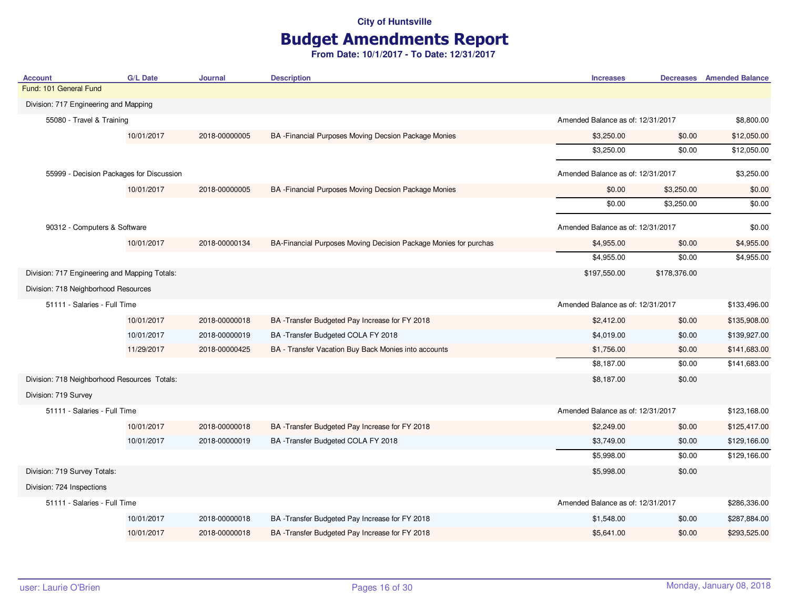# Budget Amendments Report

| <b>Account</b>                                | <b>G/L Date</b> | Journal       | <b>Description</b>                                               | <b>Increases</b>                  |              | <b>Decreases</b> Amended Balance |
|-----------------------------------------------|-----------------|---------------|------------------------------------------------------------------|-----------------------------------|--------------|----------------------------------|
| Fund: 101 General Fund                        |                 |               |                                                                  |                                   |              |                                  |
| Division: 717 Engineering and Mapping         |                 |               |                                                                  |                                   |              |                                  |
| 55080 - Travel & Training                     |                 |               |                                                                  | Amended Balance as of: 12/31/2017 |              | \$8,800.00                       |
|                                               | 10/01/2017      | 2018-00000005 | BA - Financial Purposes Moving Decsion Package Monies            | \$3,250.00                        | \$0.00       | \$12,050.00                      |
|                                               |                 |               |                                                                  | \$3,250.00                        | \$0.00       | \$12,050.00                      |
| 55999 - Decision Packages for Discussion      |                 |               |                                                                  | Amended Balance as of: 12/31/2017 |              | \$3,250.00                       |
|                                               | 10/01/2017      | 2018-00000005 | BA - Financial Purposes Moving Decsion Package Monies            | \$0.00                            | \$3,250.00   | \$0.00                           |
|                                               |                 |               |                                                                  | \$0.00                            | \$3,250.00   | \$0.00                           |
| 90312 - Computers & Software                  |                 |               |                                                                  | Amended Balance as of: 12/31/2017 |              | \$0.00                           |
|                                               | 10/01/2017      | 2018-00000134 | BA-Financial Purposes Moving Decision Package Monies for purchas | \$4,955.00                        | \$0.00       | \$4,955.00                       |
|                                               |                 |               |                                                                  | \$4,955.00                        | \$0.00       | \$4,955.00                       |
| Division: 717 Engineering and Mapping Totals: |                 |               |                                                                  | \$197,550.00                      | \$178,376.00 |                                  |
| Division: 718 Neighborhood Resources          |                 |               |                                                                  |                                   |              |                                  |
| 51111 - Salaries - Full Time                  |                 |               |                                                                  | Amended Balance as of: 12/31/2017 |              | \$133,496.00                     |
|                                               | 10/01/2017      | 2018-00000018 | BA -Transfer Budgeted Pay Increase for FY 2018                   | \$2,412.00                        | \$0.00       | \$135,908.00                     |
|                                               | 10/01/2017      | 2018-00000019 | BA -Transfer Budgeted COLA FY 2018                               | \$4,019.00                        | \$0.00       | \$139,927.00                     |
|                                               | 11/29/2017      | 2018-00000425 | BA - Transfer Vacation Buy Back Monies into accounts             | \$1,756.00                        | \$0.00       | \$141,683.00                     |
|                                               |                 |               |                                                                  | \$8,187.00                        | \$0.00       | \$141,683.00                     |
| Division: 718 Neighborhood Resources Totals:  |                 |               |                                                                  | \$8,187.00                        | \$0.00       |                                  |
| Division: 719 Survey                          |                 |               |                                                                  |                                   |              |                                  |
| 51111 - Salaries - Full Time                  |                 |               |                                                                  | Amended Balance as of: 12/31/2017 |              | \$123,168.00                     |
|                                               | 10/01/2017      | 2018-00000018 | BA -Transfer Budgeted Pay Increase for FY 2018                   | \$2,249.00                        | \$0.00       | \$125,417.00                     |
|                                               | 10/01/2017      | 2018-00000019 | BA -Transfer Budgeted COLA FY 2018                               | \$3,749.00                        | \$0.00       | \$129,166.00                     |
|                                               |                 |               |                                                                  | \$5,998.00                        | \$0.00       | \$129,166.00                     |
| Division: 719 Survey Totals:                  |                 |               |                                                                  | \$5,998.00                        | \$0.00       |                                  |
| Division: 724 Inspections                     |                 |               |                                                                  |                                   |              |                                  |
| 51111 - Salaries - Full Time                  |                 |               |                                                                  | Amended Balance as of: 12/31/2017 |              | \$286,336.00                     |
|                                               | 10/01/2017      | 2018-00000018 | BA -Transfer Budgeted Pay Increase for FY 2018                   | \$1,548.00                        | \$0.00       | \$287,884.00                     |
|                                               | 10/01/2017      | 2018-00000018 | BA -Transfer Budgeted Pay Increase for FY 2018                   | \$5,641.00                        | \$0.00       | \$293,525.00                     |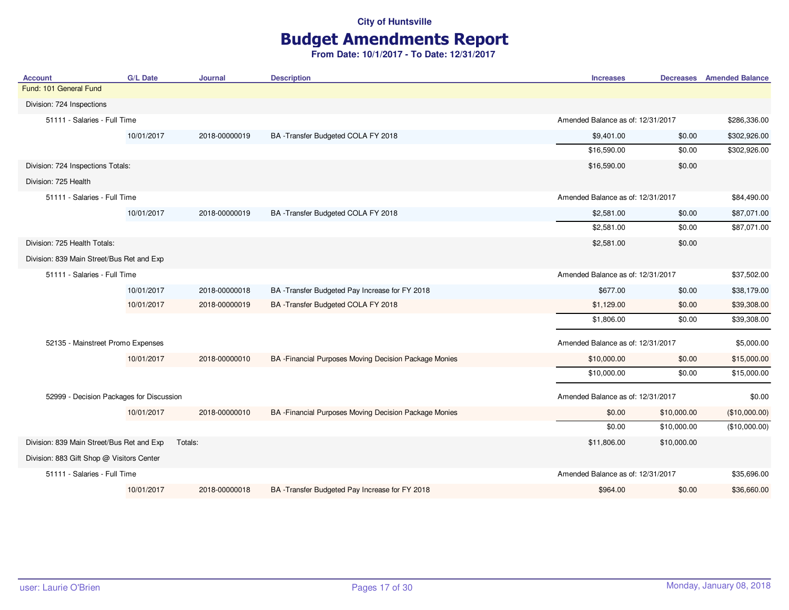# Budget Amendments Report

| <b>Account</b>                            | <b>G/L Date</b> | <b>Journal</b> | <b>Description</b>                                     | <b>Increases</b>                  | <b>Decreases</b> Amended Balance |
|-------------------------------------------|-----------------|----------------|--------------------------------------------------------|-----------------------------------|----------------------------------|
| Fund: 101 General Fund                    |                 |                |                                                        |                                   |                                  |
| Division: 724 Inspections                 |                 |                |                                                        |                                   |                                  |
| 51111 - Salaries - Full Time              |                 |                |                                                        | Amended Balance as of: 12/31/2017 | \$286,336.00                     |
|                                           | 10/01/2017      | 2018-00000019  | BA -Transfer Budgeted COLA FY 2018                     | \$9,401.00<br>\$0.00              | \$302,926.00                     |
|                                           |                 |                |                                                        | \$16,590.00<br>\$0.00             | \$302,926.00                     |
| Division: 724 Inspections Totals:         |                 |                |                                                        | \$16,590.00<br>\$0.00             |                                  |
| Division: 725 Health                      |                 |                |                                                        |                                   |                                  |
| 51111 - Salaries - Full Time              |                 |                |                                                        | Amended Balance as of: 12/31/2017 | \$84,490.00                      |
|                                           | 10/01/2017      | 2018-00000019  | BA-Transfer Budgeted COLA FY 2018                      | \$2,581.00<br>\$0.00              | \$87,071.00                      |
|                                           |                 |                |                                                        | \$2,581.00<br>\$0.00              | \$87,071.00                      |
| Division: 725 Health Totals:              |                 |                |                                                        | \$2,581.00<br>\$0.00              |                                  |
| Division: 839 Main Street/Bus Ret and Exp |                 |                |                                                        |                                   |                                  |
| 51111 - Salaries - Full Time              |                 |                |                                                        | Amended Balance as of: 12/31/2017 | \$37,502.00                      |
|                                           | 10/01/2017      | 2018-00000018  | BA -Transfer Budgeted Pay Increase for FY 2018         | \$677.00<br>\$0.00                | \$38,179.00                      |
|                                           | 10/01/2017      | 2018-00000019  | BA -Transfer Budgeted COLA FY 2018                     | \$0.00<br>\$1,129.00              | \$39,308.00                      |
|                                           |                 |                |                                                        | \$1,806.00<br>\$0.00              | \$39,308.00                      |
| 52135 - Mainstreet Promo Expenses         |                 |                |                                                        | Amended Balance as of: 12/31/2017 | \$5,000.00                       |
|                                           | 10/01/2017      | 2018-00000010  | BA - Financial Purposes Moving Decision Package Monies | \$10,000.00<br>\$0.00             | \$15,000.00                      |
|                                           |                 |                |                                                        | \$10,000.00<br>\$0.00             | \$15,000.00                      |
| 52999 - Decision Packages for Discussion  |                 |                |                                                        | Amended Balance as of: 12/31/2017 | \$0.00                           |
|                                           | 10/01/2017      | 2018-00000010  | BA - Financial Purposes Moving Decision Package Monies | \$0.00<br>\$10,000.00             | (\$10,000.00)                    |
|                                           |                 |                |                                                        | \$0.00<br>\$10,000.00             | (\$10,000.00)                    |
| Division: 839 Main Street/Bus Ret and Exp |                 | Totals:        |                                                        | \$10,000.00<br>\$11,806.00        |                                  |
| Division: 883 Gift Shop @ Visitors Center |                 |                |                                                        |                                   |                                  |
| 51111 - Salaries - Full Time              |                 |                |                                                        | Amended Balance as of: 12/31/2017 | \$35,696.00                      |
|                                           | 10/01/2017      | 2018-00000018  | BA -Transfer Budgeted Pay Increase for FY 2018         | \$964.00<br>\$0.00                | \$36,660.00                      |
|                                           |                 |                |                                                        |                                   |                                  |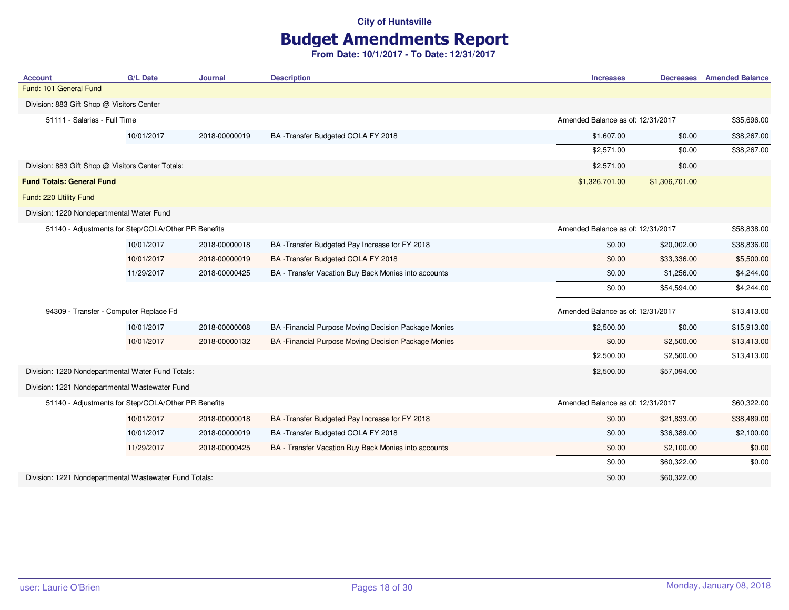# Budget Amendments Report

| <b>Account</b>                                         | <b>G/L Date</b> | Journal       | <b>Description</b>                                    | <b>Increases</b>                  |                | <b>Decreases</b> Amended Balance |
|--------------------------------------------------------|-----------------|---------------|-------------------------------------------------------|-----------------------------------|----------------|----------------------------------|
| Fund: 101 General Fund                                 |                 |               |                                                       |                                   |                |                                  |
| Division: 883 Gift Shop @ Visitors Center              |                 |               |                                                       |                                   |                |                                  |
| 51111 - Salaries - Full Time                           |                 |               |                                                       | Amended Balance as of: 12/31/2017 |                | \$35,696.00                      |
|                                                        | 10/01/2017      | 2018-00000019 | BA -Transfer Budgeted COLA FY 2018                    | \$1,607.00                        | \$0.00         | \$38,267.00                      |
|                                                        |                 |               |                                                       | \$2,571.00                        | \$0.00         | \$38,267.00                      |
| Division: 883 Gift Shop @ Visitors Center Totals:      |                 |               |                                                       | \$2,571.00                        | \$0.00         |                                  |
| <b>Fund Totals: General Fund</b>                       |                 |               |                                                       | \$1,326,701.00                    | \$1,306,701.00 |                                  |
| Fund: 220 Utility Fund                                 |                 |               |                                                       |                                   |                |                                  |
| Division: 1220 Nondepartmental Water Fund              |                 |               |                                                       |                                   |                |                                  |
| 51140 - Adjustments for Step/COLA/Other PR Benefits    |                 |               |                                                       | Amended Balance as of: 12/31/2017 |                | \$58,838.00                      |
|                                                        | 10/01/2017      | 2018-00000018 | BA -Transfer Budgeted Pay Increase for FY 2018        | \$0.00                            | \$20,002.00    | \$38,836.00                      |
|                                                        | 10/01/2017      | 2018-00000019 | BA -Transfer Budgeted COLA FY 2018                    | \$0.00                            | \$33,336.00    | \$5,500.00                       |
|                                                        | 11/29/2017      | 2018-00000425 | BA - Transfer Vacation Buy Back Monies into accounts  | \$0.00                            | \$1,256.00     | \$4,244.00                       |
|                                                        |                 |               |                                                       | \$0.00                            | \$54,594.00    | \$4,244.00                       |
| 94309 - Transfer - Computer Replace Fd                 |                 |               |                                                       | Amended Balance as of: 12/31/2017 |                | \$13,413.00                      |
|                                                        | 10/01/2017      | 2018-00000008 | BA - Financial Purpose Moving Decision Package Monies | \$2,500.00                        | \$0.00         | \$15,913.00                      |
|                                                        | 10/01/2017      | 2018-00000132 | BA - Financial Purpose Moving Decision Package Monies | \$0.00                            | \$2,500.00     | \$13,413.00                      |
|                                                        |                 |               |                                                       | \$2,500.00                        | \$2,500.00     | \$13,413.00                      |
| Division: 1220 Nondepartmental Water Fund Totals:      |                 |               |                                                       | \$2,500.00                        | \$57,094.00    |                                  |
| Division: 1221 Nondepartmental Wastewater Fund         |                 |               |                                                       |                                   |                |                                  |
| 51140 - Adjustments for Step/COLA/Other PR Benefits    |                 |               |                                                       | Amended Balance as of: 12/31/2017 |                | \$60,322.00                      |
|                                                        | 10/01/2017      | 2018-00000018 | BA -Transfer Budgeted Pay Increase for FY 2018        | \$0.00                            | \$21,833.00    | \$38,489.00                      |
|                                                        | 10/01/2017      | 2018-00000019 | BA -Transfer Budgeted COLA FY 2018                    | \$0.00                            | \$36,389.00    | \$2,100.00                       |
|                                                        | 11/29/2017      | 2018-00000425 | BA - Transfer Vacation Buy Back Monies into accounts  | \$0.00                            | \$2,100.00     | \$0.00                           |
|                                                        |                 |               |                                                       | \$0.00                            | \$60,322.00    | \$0.00                           |
| Division: 1221 Nondepartmental Wastewater Fund Totals: |                 |               |                                                       | \$0.00                            | \$60,322.00    |                                  |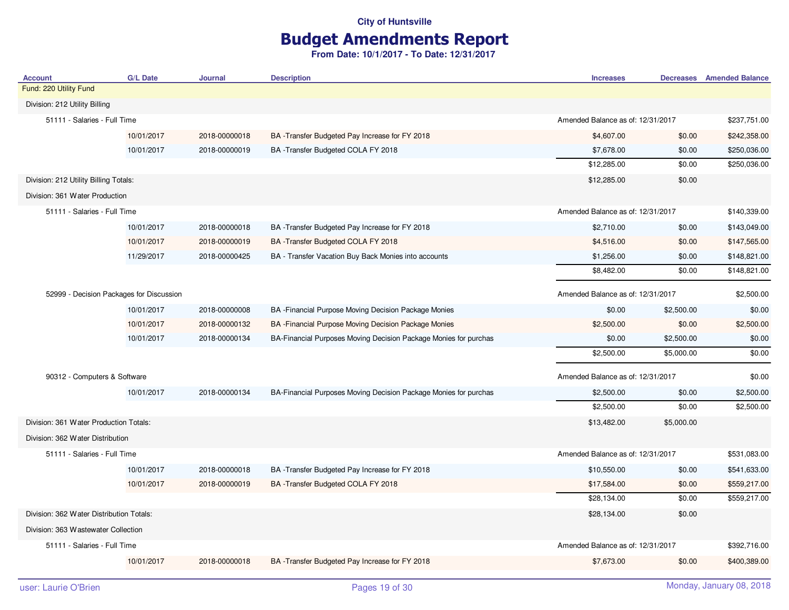# Budget Amendments Report

| <b>Account</b>                           | <b>G/L Date</b> | <b>Journal</b> | <b>Description</b>                                               | <b>Increases</b>                  |            | <b>Decreases</b> Amended Balance |
|------------------------------------------|-----------------|----------------|------------------------------------------------------------------|-----------------------------------|------------|----------------------------------|
| Fund: 220 Utility Fund                   |                 |                |                                                                  |                                   |            |                                  |
| Division: 212 Utility Billing            |                 |                |                                                                  |                                   |            |                                  |
| 51111 - Salaries - Full Time             |                 |                |                                                                  | Amended Balance as of: 12/31/2017 |            | \$237,751.00                     |
|                                          | 10/01/2017      | 2018-00000018  | BA -Transfer Budgeted Pay Increase for FY 2018                   | \$4,607.00                        | \$0.00     | \$242,358.00                     |
|                                          | 10/01/2017      | 2018-00000019  | BA -Transfer Budgeted COLA FY 2018                               | \$7,678.00                        | \$0.00     | \$250,036.00                     |
|                                          |                 |                |                                                                  | \$12,285.00                       | \$0.00     | \$250,036.00                     |
| Division: 212 Utility Billing Totals:    |                 |                |                                                                  | \$12,285.00                       | \$0.00     |                                  |
| Division: 361 Water Production           |                 |                |                                                                  |                                   |            |                                  |
| 51111 - Salaries - Full Time             |                 |                |                                                                  | Amended Balance as of: 12/31/2017 |            | \$140,339.00                     |
|                                          | 10/01/2017      | 2018-00000018  | BA -Transfer Budgeted Pay Increase for FY 2018                   | \$2,710.00                        | \$0.00     | \$143,049.00                     |
|                                          | 10/01/2017      | 2018-00000019  | BA -Transfer Budgeted COLA FY 2018                               | \$4,516.00                        | \$0.00     | \$147,565.00                     |
|                                          | 11/29/2017      | 2018-00000425  | BA - Transfer Vacation Buy Back Monies into accounts             | \$1,256.00                        | \$0.00     | \$148,821.00                     |
|                                          |                 |                |                                                                  | \$8,482.00                        | \$0.00     | \$148,821.00                     |
| 52999 - Decision Packages for Discussion |                 |                |                                                                  | Amended Balance as of: 12/31/2017 |            | \$2,500.00                       |
|                                          | 10/01/2017      | 2018-00000008  | BA - Financial Purpose Moving Decision Package Monies            | \$0.00                            | \$2,500.00 | \$0.00                           |
|                                          | 10/01/2017      | 2018-00000132  | BA - Financial Purpose Moving Decision Package Monies            | \$2,500.00                        | \$0.00     | \$2,500.00                       |
|                                          | 10/01/2017      | 2018-00000134  | BA-Financial Purposes Moving Decision Package Monies for purchas | \$0.00                            | \$2,500.00 | \$0.00                           |
|                                          |                 |                |                                                                  | \$2,500.00                        | \$5,000.00 | \$0.00                           |
| 90312 - Computers & Software             |                 |                |                                                                  | Amended Balance as of: 12/31/2017 |            | \$0.00                           |
|                                          | 10/01/2017      | 2018-00000134  | BA-Financial Purposes Moving Decision Package Monies for purchas | \$2,500.00                        | \$0.00     | \$2,500.00                       |
|                                          |                 |                |                                                                  | \$2,500.00                        | \$0.00     | \$2,500.00                       |
| Division: 361 Water Production Totals:   |                 |                |                                                                  | \$13,482.00                       | \$5,000.00 |                                  |
| Division: 362 Water Distribution         |                 |                |                                                                  |                                   |            |                                  |
| 51111 - Salaries - Full Time             |                 |                |                                                                  | Amended Balance as of: 12/31/2017 |            | \$531,083.00                     |
|                                          | 10/01/2017      | 2018-00000018  | BA-Transfer Budgeted Pay Increase for FY 2018                    | \$10,550.00                       | \$0.00     | \$541,633.00                     |
|                                          | 10/01/2017      | 2018-00000019  | BA -Transfer Budgeted COLA FY 2018                               | \$17,584.00                       | \$0.00     | \$559,217.00                     |
|                                          |                 |                |                                                                  | \$28,134.00                       | \$0.00     | \$559,217.00                     |
| Division: 362 Water Distribution Totals: |                 |                |                                                                  | \$28,134.00                       | \$0.00     |                                  |
| Division: 363 Wastewater Collection      |                 |                |                                                                  |                                   |            |                                  |
| 51111 - Salaries - Full Time             |                 |                |                                                                  | Amended Balance as of: 12/31/2017 |            | \$392,716.00                     |
|                                          | 10/01/2017      | 2018-00000018  | BA -Transfer Budgeted Pay Increase for FY 2018                   | \$7,673.00                        | \$0.00     | \$400,389.00                     |
|                                          |                 |                |                                                                  |                                   |            |                                  |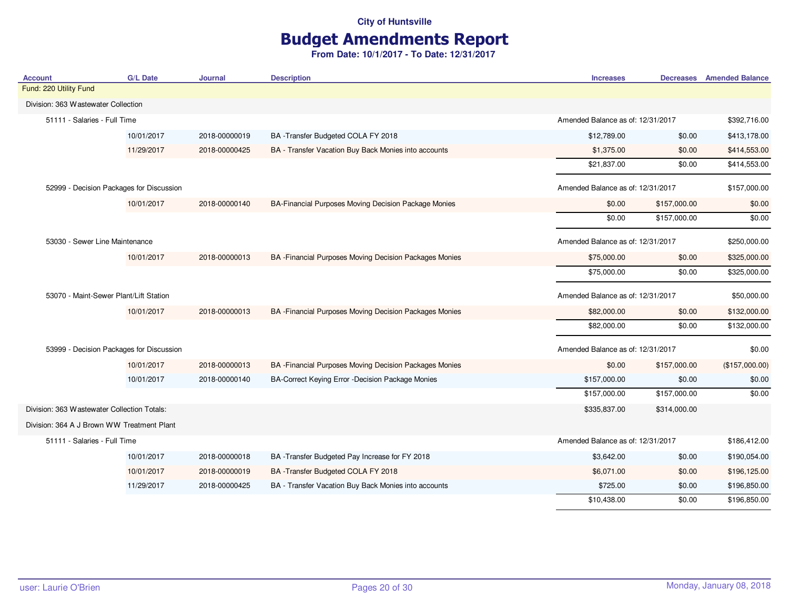## Budget Amendments Report

| <b>Account</b>                              | <b>G/L Date</b>                          | <b>Journal</b> | <b>Description</b>                                      | <b>Increases</b>                  |              | <b>Decreases</b> Amended Balance |
|---------------------------------------------|------------------------------------------|----------------|---------------------------------------------------------|-----------------------------------|--------------|----------------------------------|
| Fund: 220 Utility Fund                      |                                          |                |                                                         |                                   |              |                                  |
| Division: 363 Wastewater Collection         |                                          |                |                                                         |                                   |              |                                  |
| 51111 - Salaries - Full Time                |                                          |                |                                                         | Amended Balance as of: 12/31/2017 |              | \$392,716.00                     |
|                                             | 10/01/2017                               | 2018-00000019  | BA -Transfer Budgeted COLA FY 2018                      | \$12,789.00                       | \$0.00       | \$413,178.00                     |
|                                             | 11/29/2017                               | 2018-00000425  | BA - Transfer Vacation Buy Back Monies into accounts    | \$1,375.00                        | \$0.00       | \$414,553.00                     |
|                                             |                                          |                |                                                         | \$21,837.00                       | \$0.00       | \$414,553.00                     |
|                                             | 52999 - Decision Packages for Discussion |                |                                                         | Amended Balance as of: 12/31/2017 |              | \$157,000.00                     |
|                                             | 10/01/2017                               | 2018-00000140  | BA-Financial Purposes Moving Decision Package Monies    | \$0.00                            | \$157,000.00 | \$0.00                           |
|                                             |                                          |                |                                                         | \$0.00                            | \$157,000.00 | \$0.00                           |
| 53030 - Sewer Line Maintenance              |                                          |                |                                                         | Amended Balance as of: 12/31/2017 |              | \$250,000.00                     |
|                                             | 10/01/2017                               | 2018-00000013  | BA - Financial Purposes Moving Decision Packages Monies | \$75,000.00                       | \$0.00       | \$325,000.00                     |
|                                             |                                          |                |                                                         | \$75,000.00                       | \$0.00       | \$325,000.00                     |
| 53070 - Maint-Sewer Plant/Lift Station      |                                          |                |                                                         | Amended Balance as of: 12/31/2017 |              | \$50,000.00                      |
|                                             | 10/01/2017                               | 2018-00000013  | BA - Financial Purposes Moving Decision Packages Monies | \$82,000.00                       | \$0.00       | \$132,000.00                     |
|                                             |                                          |                |                                                         | \$82,000.00                       | \$0.00       | \$132,000.00                     |
|                                             | 53999 - Decision Packages for Discussion |                |                                                         | Amended Balance as of: 12/31/2017 |              | \$0.00                           |
|                                             | 10/01/2017                               | 2018-00000013  | BA - Financial Purposes Moving Decision Packages Monies | \$0.00                            | \$157,000.00 | (\$157,000.00)                   |
|                                             | 10/01/2017                               | 2018-00000140  | BA-Correct Keying Error -Decision Package Monies        | \$157,000.00                      | \$0.00       | \$0.00                           |
|                                             |                                          |                |                                                         | \$157,000.00                      | \$157,000.00 | \$0.00                           |
| Division: 363 Wastewater Collection Totals: |                                          |                |                                                         | \$335,837.00                      | \$314,000.00 |                                  |
| Division: 364 A J Brown WW Treatment Plant  |                                          |                |                                                         |                                   |              |                                  |
| 51111 - Salaries - Full Time                |                                          |                |                                                         | Amended Balance as of: 12/31/2017 |              | \$186,412.00                     |
|                                             | 10/01/2017                               | 2018-00000018  | BA -Transfer Budgeted Pay Increase for FY 2018          | \$3,642.00                        | \$0.00       | \$190,054.00                     |
|                                             | 10/01/2017                               | 2018-00000019  | BA -Transfer Budgeted COLA FY 2018                      | \$6,071.00                        | \$0.00       | \$196,125.00                     |
|                                             | 11/29/2017                               | 2018-00000425  | BA - Transfer Vacation Buy Back Monies into accounts    | \$725.00                          | \$0.00       | \$196,850.00                     |
|                                             |                                          |                |                                                         | \$10,438.00                       | \$0.00       | \$196,850.00                     |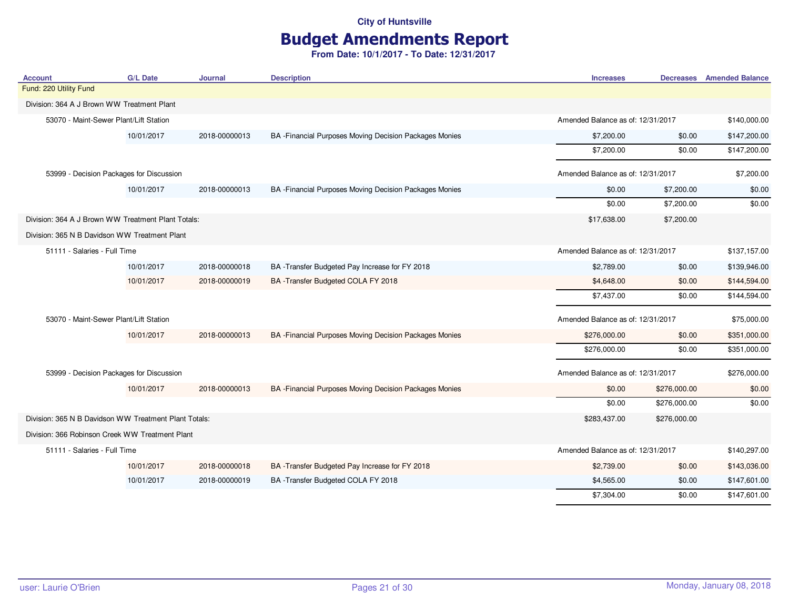# Budget Amendments Report

| <b>Account</b>                                        | <b>G/L Date</b> | <b>Journal</b> | <b>Description</b>                                      | <b>Increases</b>                  |                                   | <b>Decreases</b> Amended Balance |
|-------------------------------------------------------|-----------------|----------------|---------------------------------------------------------|-----------------------------------|-----------------------------------|----------------------------------|
| Fund: 220 Utility Fund                                |                 |                |                                                         |                                   |                                   |                                  |
| Division: 364 A J Brown WW Treatment Plant            |                 |                |                                                         |                                   |                                   |                                  |
| 53070 - Maint-Sewer Plant/Lift Station                |                 |                |                                                         | Amended Balance as of: 12/31/2017 |                                   | \$140,000.00                     |
|                                                       | 10/01/2017      | 2018-00000013  | BA - Financial Purposes Moving Decision Packages Monies | \$7,200.00                        | \$0.00                            | \$147,200.00                     |
|                                                       |                 |                |                                                         | \$7,200.00                        | \$0.00                            | \$147,200.00                     |
| 53999 - Decision Packages for Discussion              |                 |                |                                                         | Amended Balance as of: 12/31/2017 |                                   | \$7,200.00                       |
|                                                       | 10/01/2017      | 2018-00000013  | BA - Financial Purposes Moving Decision Packages Monies | \$0.00                            | \$7,200.00                        | \$0.00                           |
|                                                       |                 |                |                                                         | \$0.00                            | \$7,200.00                        | \$0.00                           |
| Division: 364 A J Brown WW Treatment Plant Totals:    |                 |                |                                                         | \$17,638.00                       | \$7,200.00                        |                                  |
| Division: 365 N B Davidson WW Treatment Plant         |                 |                |                                                         |                                   |                                   |                                  |
| 51111 - Salaries - Full Time                          |                 |                |                                                         |                                   | Amended Balance as of: 12/31/2017 |                                  |
|                                                       | 10/01/2017      | 2018-00000018  | BA -Transfer Budgeted Pay Increase for FY 2018          | \$2,789.00                        | \$0.00                            | \$139,946.00                     |
|                                                       | 10/01/2017      | 2018-00000019  | BA -Transfer Budgeted COLA FY 2018                      | \$4,648.00                        | \$0.00                            | \$144,594.00                     |
|                                                       |                 |                |                                                         | \$7,437.00                        | \$0.00                            | \$144,594.00                     |
| 53070 - Maint-Sewer Plant/Lift Station                |                 |                |                                                         | Amended Balance as of: 12/31/2017 |                                   | \$75,000.00                      |
|                                                       | 10/01/2017      | 2018-00000013  | BA - Financial Purposes Moving Decision Packages Monies | \$276,000.00                      | \$0.00                            | \$351,000.00                     |
|                                                       |                 |                |                                                         | \$276,000.00                      | \$0.00                            | \$351,000.00                     |
| 53999 - Decision Packages for Discussion              |                 |                |                                                         | Amended Balance as of: 12/31/2017 |                                   | \$276,000.00                     |
|                                                       | 10/01/2017      | 2018-00000013  | BA - Financial Purposes Moving Decision Packages Monies | \$0.00                            | \$276,000.00                      | \$0.00                           |
|                                                       |                 |                |                                                         | \$0.00                            | \$276,000.00                      | \$0.00                           |
| Division: 365 N B Davidson WW Treatment Plant Totals: |                 |                |                                                         | \$283,437.00                      | \$276,000.00                      |                                  |
| Division: 366 Robinson Creek WW Treatment Plant       |                 |                |                                                         |                                   |                                   |                                  |
| 51111 - Salaries - Full Time                          |                 |                |                                                         | Amended Balance as of: 12/31/2017 |                                   | \$140,297.00                     |
|                                                       | 10/01/2017      | 2018-00000018  | BA -Transfer Budgeted Pay Increase for FY 2018          | \$2,739.00                        | \$0.00                            | \$143,036.00                     |
|                                                       | 10/01/2017      | 2018-00000019  | BA -Transfer Budgeted COLA FY 2018                      | \$4,565.00                        | \$0.00                            | \$147,601.00                     |
|                                                       |                 |                |                                                         | \$7,304.00                        | \$0.00                            | \$147,601.00                     |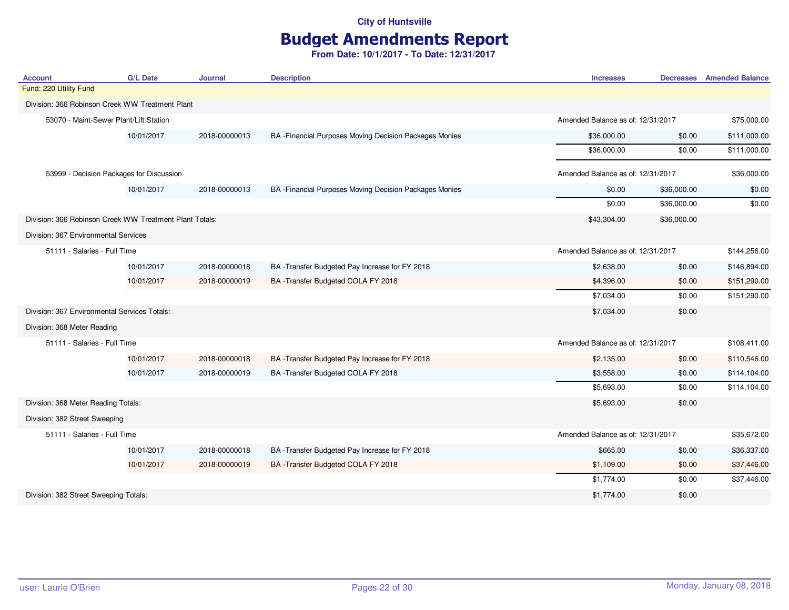## Budget Amendments Report

| <b>Account</b>                                          | <b>G/L Date</b> | <b>Journal</b> | <b>Description</b>                                      | <b>Increases</b>                  |             | <b>Decreases</b> Amended Balance |
|---------------------------------------------------------|-----------------|----------------|---------------------------------------------------------|-----------------------------------|-------------|----------------------------------|
| Fund: 220 Utility Fund                                  |                 |                |                                                         |                                   |             |                                  |
| Division: 366 Robinson Creek WW Treatment Plant         |                 |                |                                                         |                                   |             |                                  |
| 53070 - Maint-Sewer Plant/Lift Station                  |                 |                |                                                         | Amended Balance as of: 12/31/2017 |             | \$75,000.00                      |
|                                                         | 10/01/2017      | 2018-00000013  | BA - Financial Purposes Moving Decision Packages Monies | \$36,000.00                       | \$0.00      | \$111,000.00                     |
|                                                         |                 |                |                                                         | \$36,000.00                       | \$0.00      | \$111,000.00                     |
| 53999 - Decision Packages for Discussion                |                 |                |                                                         | Amended Balance as of: 12/31/2017 |             | \$36,000.00                      |
|                                                         | 10/01/2017      | 2018-00000013  | BA - Financial Purposes Moving Decision Packages Monies | \$0.00                            | \$36,000.00 | \$0.00                           |
|                                                         |                 |                |                                                         | \$0.00                            | \$36,000.00 | \$0.00                           |
| Division: 366 Robinson Creek WW Treatment Plant Totals: |                 |                |                                                         | \$43,304.00                       | \$36,000.00 |                                  |
| Division: 367 Environmental Services                    |                 |                |                                                         |                                   |             |                                  |
| 51111 - Salaries - Full Time                            |                 |                |                                                         | Amended Balance as of: 12/31/2017 |             | \$144,256.00                     |
|                                                         | 10/01/2017      | 2018-00000018  | BA -Transfer Budgeted Pay Increase for FY 2018          | \$2,638.00                        | \$0.00      | \$146,894.00                     |
|                                                         | 10/01/2017      | 2018-00000019  | BA -Transfer Budgeted COLA FY 2018                      | \$4,396.00                        | \$0.00      | \$151,290.00                     |
|                                                         |                 |                |                                                         | \$7,034.00                        | \$0.00      | \$151,290.00                     |
| Division: 367 Environmental Services Totals:            |                 |                |                                                         | \$7,034.00                        | \$0.00      |                                  |
| Division: 368 Meter Reading                             |                 |                |                                                         |                                   |             |                                  |
| 51111 - Salaries - Full Time                            |                 |                |                                                         | Amended Balance as of: 12/31/2017 |             | \$108,411.00                     |
|                                                         | 10/01/2017      | 2018-00000018  | BA -Transfer Budgeted Pay Increase for FY 2018          | \$2,135.00                        | \$0.00      | \$110,546.00                     |
|                                                         | 10/01/2017      | 2018-00000019  | BA -Transfer Budgeted COLA FY 2018                      | \$3,558.00                        | \$0.00      | \$114,104.00                     |
|                                                         |                 |                |                                                         | \$5,693.00                        | \$0.00      | \$114,104.00                     |
| Division: 368 Meter Reading Totals:                     |                 |                |                                                         | \$5,693.00                        | \$0.00      |                                  |
| Division: 382 Street Sweeping                           |                 |                |                                                         |                                   |             |                                  |
| 51111 - Salaries - Full Time                            |                 |                |                                                         | Amended Balance as of: 12/31/2017 |             | \$35,672.00                      |
|                                                         | 10/01/2017      | 2018-00000018  | BA -Transfer Budgeted Pay Increase for FY 2018          | \$665.00                          | \$0.00      | \$36,337.00                      |
|                                                         | 10/01/2017      | 2018-00000019  | BA -Transfer Budgeted COLA FY 2018                      | \$1,109.00                        | \$0.00      | \$37,446.00                      |
|                                                         |                 |                |                                                         | \$1,774.00                        | \$0.00      | \$37,446.00                      |
| Division: 382 Street Sweeping Totals:                   |                 |                |                                                         | \$1,774.00                        | \$0.00      |                                  |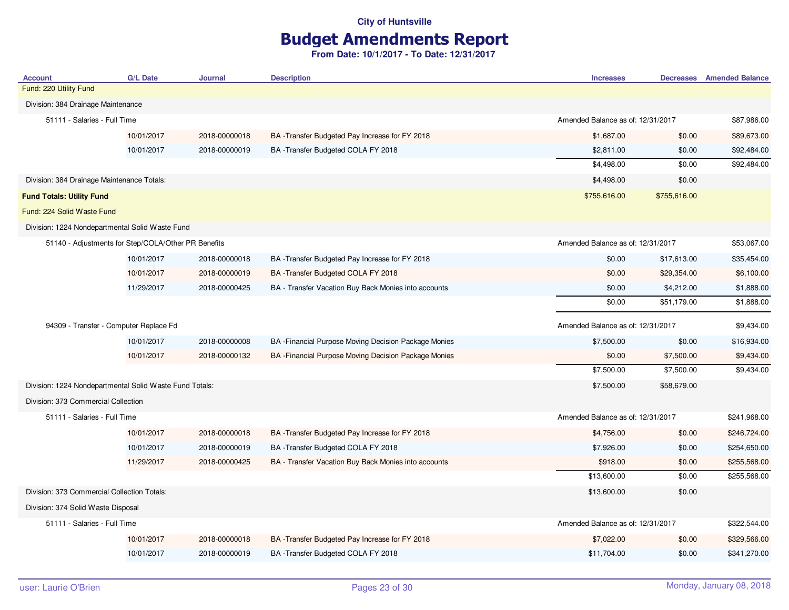# Budget Amendments Report

| <b>Account</b>                                          | <b>G/L Date</b> | <b>Journal</b> | <b>Description</b>                                    | <b>Increases</b>                  |              | <b>Decreases</b> Amended Balance |
|---------------------------------------------------------|-----------------|----------------|-------------------------------------------------------|-----------------------------------|--------------|----------------------------------|
| Fund: 220 Utility Fund                                  |                 |                |                                                       |                                   |              |                                  |
| Division: 384 Drainage Maintenance                      |                 |                |                                                       |                                   |              |                                  |
| 51111 - Salaries - Full Time                            |                 |                |                                                       | Amended Balance as of: 12/31/2017 |              | \$87,986.00                      |
|                                                         | 10/01/2017      | 2018-00000018  | BA -Transfer Budgeted Pay Increase for FY 2018        | \$1,687.00                        | \$0.00       | \$89,673.00                      |
|                                                         | 10/01/2017      | 2018-00000019  | BA -Transfer Budgeted COLA FY 2018                    | \$2,811.00                        | \$0.00       | \$92,484.00                      |
|                                                         |                 |                |                                                       | \$4,498.00                        | \$0.00       | \$92,484.00                      |
| Division: 384 Drainage Maintenance Totals:              |                 |                |                                                       | \$4,498.00                        | \$0.00       |                                  |
| <b>Fund Totals: Utility Fund</b>                        |                 |                |                                                       | \$755,616.00                      | \$755,616.00 |                                  |
| Fund: 224 Solid Waste Fund                              |                 |                |                                                       |                                   |              |                                  |
| Division: 1224 Nondepartmental Solid Waste Fund         |                 |                |                                                       |                                   |              |                                  |
| 51140 - Adjustments for Step/COLA/Other PR Benefits     |                 |                |                                                       | Amended Balance as of: 12/31/2017 |              | \$53,067.00                      |
|                                                         | 10/01/2017      | 2018-00000018  | BA -Transfer Budgeted Pay Increase for FY 2018        | \$0.00                            | \$17,613.00  | \$35,454.00                      |
|                                                         | 10/01/2017      | 2018-00000019  | BA -Transfer Budgeted COLA FY 2018                    | \$0.00                            | \$29,354.00  | \$6,100.00                       |
|                                                         | 11/29/2017      | 2018-00000425  | BA - Transfer Vacation Buy Back Monies into accounts  | \$0.00                            | \$4,212.00   | \$1,888.00                       |
|                                                         |                 |                |                                                       | \$0.00                            | \$51,179.00  | \$1,888.00                       |
| 94309 - Transfer - Computer Replace Fd                  |                 |                |                                                       | Amended Balance as of: 12/31/2017 |              | \$9,434.00                       |
|                                                         | 10/01/2017      | 2018-00000008  | BA - Financial Purpose Moving Decision Package Monies | \$7,500.00                        | \$0.00       | \$16,934.00                      |
|                                                         | 10/01/2017      | 2018-00000132  | BA - Financial Purpose Moving Decision Package Monies | \$0.00                            | \$7,500.00   | \$9,434.00                       |
|                                                         |                 |                |                                                       | \$7,500.00                        | \$7,500.00   | \$9,434.00                       |
| Division: 1224 Nondepartmental Solid Waste Fund Totals: |                 |                |                                                       | \$7,500.00                        | \$58,679.00  |                                  |
| Division: 373 Commercial Collection                     |                 |                |                                                       |                                   |              |                                  |
| 51111 - Salaries - Full Time                            |                 |                |                                                       | Amended Balance as of: 12/31/2017 |              | \$241,968.00                     |
|                                                         | 10/01/2017      | 2018-00000018  | BA -Transfer Budgeted Pay Increase for FY 2018        | \$4,756.00                        | \$0.00       | \$246,724.00                     |
|                                                         | 10/01/2017      | 2018-00000019  | BA -Transfer Budgeted COLA FY 2018                    | \$7,926.00                        | \$0.00       | \$254,650.00                     |
|                                                         | 11/29/2017      | 2018-00000425  | BA - Transfer Vacation Buy Back Monies into accounts  | \$918.00                          | \$0.00       | \$255,568.00                     |
|                                                         |                 |                |                                                       | \$13,600.00                       | \$0.00       | \$255,568.00                     |
| Division: 373 Commercial Collection Totals:             |                 |                |                                                       | \$13,600.00                       | \$0.00       |                                  |
| Division: 374 Solid Waste Disposal                      |                 |                |                                                       |                                   |              |                                  |
| 51111 - Salaries - Full Time                            |                 |                |                                                       | Amended Balance as of: 12/31/2017 |              | \$322,544.00                     |
|                                                         |                 |                |                                                       |                                   |              |                                  |
|                                                         | 10/01/2017      | 2018-00000018  | BA -Transfer Budgeted Pay Increase for FY 2018        | \$7,022.00                        | \$0.00       | \$329,566.00                     |
|                                                         | 10/01/2017      | 2018-00000019  | BA-Transfer Budgeted COLA FY 2018                     | \$11,704.00                       | \$0.00       | \$341,270.00                     |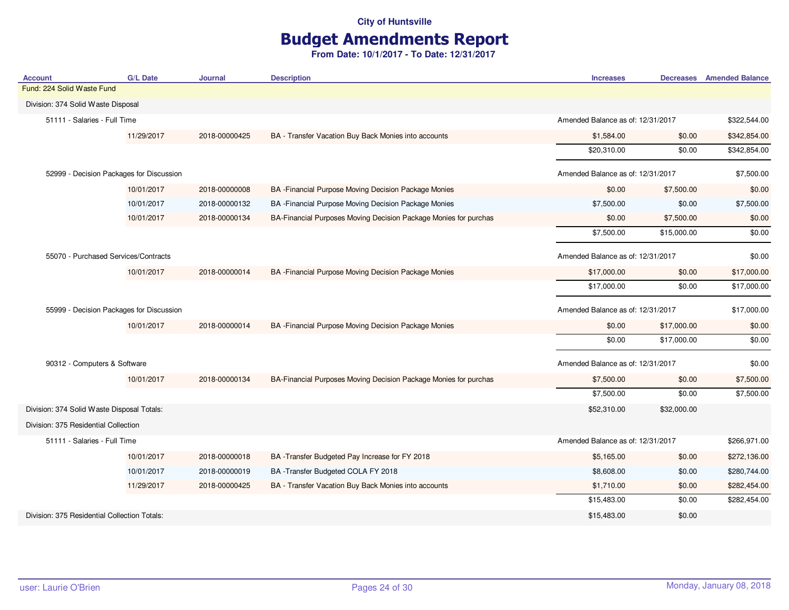## Budget Amendments Report

| <b>Account</b>                               | <b>G/L Date</b> | <b>Journal</b> | <b>Description</b>                                               | <b>Increases</b>                  |             | <b>Decreases</b> Amended Balance |
|----------------------------------------------|-----------------|----------------|------------------------------------------------------------------|-----------------------------------|-------------|----------------------------------|
| Fund: 224 Solid Waste Fund                   |                 |                |                                                                  |                                   |             |                                  |
| Division: 374 Solid Waste Disposal           |                 |                |                                                                  |                                   |             |                                  |
| 51111 - Salaries - Full Time                 |                 |                |                                                                  | Amended Balance as of: 12/31/2017 |             | \$322,544.00                     |
|                                              | 11/29/2017      | 2018-00000425  | BA - Transfer Vacation Buy Back Monies into accounts             | \$1,584.00                        | \$0.00      | \$342,854.00                     |
|                                              |                 |                |                                                                  | \$20,310.00                       | \$0.00      | \$342,854.00                     |
| 52999 - Decision Packages for Discussion     |                 |                |                                                                  | Amended Balance as of: 12/31/2017 |             | \$7,500.00                       |
|                                              | 10/01/2017      | 2018-00000008  | BA - Financial Purpose Moving Decision Package Monies            | \$0.00                            | \$7,500.00  | \$0.00                           |
|                                              | 10/01/2017      | 2018-00000132  | BA - Financial Purpose Moving Decision Package Monies            | \$7,500.00                        | \$0.00      | \$7,500.00                       |
|                                              | 10/01/2017      | 2018-00000134  | BA-Financial Purposes Moving Decision Package Monies for purchas | \$0.00                            | \$7,500.00  | \$0.00                           |
|                                              |                 |                |                                                                  | \$7,500.00                        | \$15,000.00 | \$0.00                           |
| 55070 - Purchased Services/Contracts         |                 |                |                                                                  | Amended Balance as of: 12/31/2017 |             | \$0.00                           |
|                                              | 10/01/2017      | 2018-00000014  | BA - Financial Purpose Moving Decision Package Monies            | \$17,000.00                       | \$0.00      | \$17,000.00                      |
|                                              |                 |                |                                                                  | \$17,000.00                       | \$0.00      | \$17,000.00                      |
| 55999 - Decision Packages for Discussion     |                 |                |                                                                  | Amended Balance as of: 12/31/2017 |             | \$17,000.00                      |
|                                              | 10/01/2017      | 2018-00000014  | BA - Financial Purpose Moving Decision Package Monies            | \$0.00                            | \$17,000.00 | \$0.00                           |
|                                              |                 |                |                                                                  | \$0.00                            | \$17,000.00 | \$0.00                           |
| 90312 - Computers & Software                 |                 |                |                                                                  | Amended Balance as of: 12/31/2017 |             | \$0.00                           |
|                                              | 10/01/2017      | 2018-00000134  | BA-Financial Purposes Moving Decision Package Monies for purchas | \$7,500.00                        | \$0.00      | \$7,500.00                       |
|                                              |                 |                |                                                                  | \$7,500.00                        | \$0.00      | \$7,500.00                       |
| Division: 374 Solid Waste Disposal Totals:   |                 |                |                                                                  | \$52,310.00                       | \$32,000.00 |                                  |
| Division: 375 Residential Collection         |                 |                |                                                                  |                                   |             |                                  |
| 51111 - Salaries - Full Time                 |                 |                |                                                                  | Amended Balance as of: 12/31/2017 |             | \$266,971.00                     |
|                                              | 10/01/2017      | 2018-00000018  | BA -Transfer Budgeted Pay Increase for FY 2018                   | \$5,165.00                        | \$0.00      | \$272,136.00                     |
|                                              | 10/01/2017      | 2018-00000019  | BA-Transfer Budgeted COLA FY 2018                                | \$8,608.00                        | \$0.00      | \$280,744.00                     |
|                                              | 11/29/2017      | 2018-00000425  | BA - Transfer Vacation Buy Back Monies into accounts             | \$1,710.00                        | \$0.00      | \$282,454.00                     |
|                                              |                 |                |                                                                  | \$15,483.00                       | \$0.00      | \$282,454.00                     |
| Division: 375 Residential Collection Totals: |                 |                |                                                                  | \$15,483.00                       | \$0.00      |                                  |
|                                              |                 |                |                                                                  |                                   |             |                                  |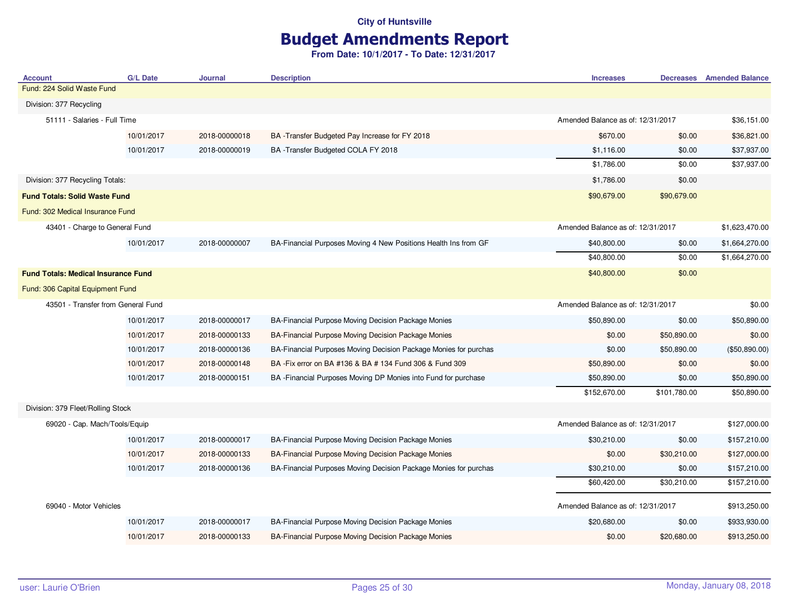# Budget Amendments Report

| <b>Account</b>                             | <b>G/L Date</b> | <b>Journal</b> | <b>Description</b>                                               | <b>Increases</b>                  |                                   | <b>Decreases</b> Amended Balance |
|--------------------------------------------|-----------------|----------------|------------------------------------------------------------------|-----------------------------------|-----------------------------------|----------------------------------|
| Fund: 224 Solid Waste Fund                 |                 |                |                                                                  |                                   |                                   |                                  |
| Division: 377 Recycling                    |                 |                |                                                                  |                                   |                                   |                                  |
| 51111 - Salaries - Full Time               |                 |                |                                                                  |                                   | Amended Balance as of: 12/31/2017 |                                  |
|                                            | 10/01/2017      | 2018-00000018  | BA -Transfer Budgeted Pay Increase for FY 2018                   | \$670.00                          | \$0.00                            | \$36,821.00                      |
|                                            | 10/01/2017      | 2018-00000019  | BA-Transfer Budgeted COLA FY 2018                                | \$1,116.00                        | \$0.00                            | \$37,937.00                      |
|                                            |                 |                |                                                                  | \$1,786.00                        | \$0.00                            | \$37,937.00                      |
| Division: 377 Recycling Totals:            |                 |                |                                                                  | \$1,786.00                        | \$0.00                            |                                  |
| <b>Fund Totals: Solid Waste Fund</b>       |                 |                |                                                                  | \$90,679.00                       | \$90,679.00                       |                                  |
| Fund: 302 Medical Insurance Fund           |                 |                |                                                                  |                                   |                                   |                                  |
| 43401 - Charge to General Fund             |                 |                |                                                                  | Amended Balance as of: 12/31/2017 |                                   | \$1,623,470.00                   |
|                                            | 10/01/2017      | 2018-00000007  | BA-Financial Purposes Moving 4 New Positions Health Ins from GF  | \$40,800.00                       | \$0.00                            | \$1,664,270.00                   |
|                                            |                 |                |                                                                  | \$40,800.00                       | \$0.00                            | \$1,664,270.00                   |
| <b>Fund Totals: Medical Insurance Fund</b> |                 |                |                                                                  | \$40,800.00                       | \$0.00                            |                                  |
| Fund: 306 Capital Equipment Fund           |                 |                |                                                                  |                                   |                                   |                                  |
| 43501 - Transfer from General Fund         |                 |                |                                                                  | Amended Balance as of: 12/31/2017 |                                   | \$0.00                           |
|                                            | 10/01/2017      | 2018-00000017  | BA-Financial Purpose Moving Decision Package Monies              | \$50,890.00                       | \$0.00                            | \$50,890.00                      |
|                                            | 10/01/2017      | 2018-00000133  | BA-Financial Purpose Moving Decision Package Monies              | \$0.00                            | \$50,890.00                       | \$0.00                           |
|                                            | 10/01/2017      | 2018-00000136  | BA-Financial Purposes Moving Decision Package Monies for purchas | \$0.00                            | \$50,890.00                       | (\$50,890.00)                    |
|                                            | 10/01/2017      | 2018-00000148  | BA - Fix error on BA #136 & BA # 134 Fund 306 & Fund 309         | \$50,890.00                       | \$0.00                            | \$0.00                           |
|                                            | 10/01/2017      | 2018-00000151  | BA -Financial Purposes Moving DP Monies into Fund for purchase   | \$50,890.00                       | \$0.00                            | \$50,890.00                      |
|                                            |                 |                |                                                                  | \$152,670.00                      | \$101,780.00                      | \$50,890.00                      |
| Division: 379 Fleet/Rolling Stock          |                 |                |                                                                  |                                   |                                   |                                  |
| 69020 - Cap. Mach/Tools/Equip              |                 |                |                                                                  | Amended Balance as of: 12/31/2017 |                                   | \$127,000.00                     |
|                                            | 10/01/2017      | 2018-00000017  | BA-Financial Purpose Moving Decision Package Monies              | \$30,210.00                       | \$0.00                            | \$157,210.00                     |
|                                            | 10/01/2017      | 2018-00000133  | BA-Financial Purpose Moving Decision Package Monies              | \$0.00                            | \$30,210.00                       | \$127,000.00                     |
|                                            | 10/01/2017      | 2018-00000136  | BA-Financial Purposes Moving Decision Package Monies for purchas | \$30,210.00                       | \$0.00                            | \$157,210.00                     |
|                                            |                 |                |                                                                  | \$60,420.00                       | \$30,210.00                       | \$157,210.00                     |
| 69040 - Motor Vehicles                     |                 |                |                                                                  | Amended Balance as of: 12/31/2017 |                                   | \$913,250.00                     |
|                                            | 10/01/2017      | 2018-00000017  | BA-Financial Purpose Moving Decision Package Monies              | \$20,680.00                       | \$0.00                            | \$933,930.00                     |
|                                            | 10/01/2017      | 2018-00000133  | BA-Financial Purpose Moving Decision Package Monies              | \$0.00                            | \$20,680.00                       | \$913,250.00                     |
|                                            |                 |                |                                                                  |                                   |                                   |                                  |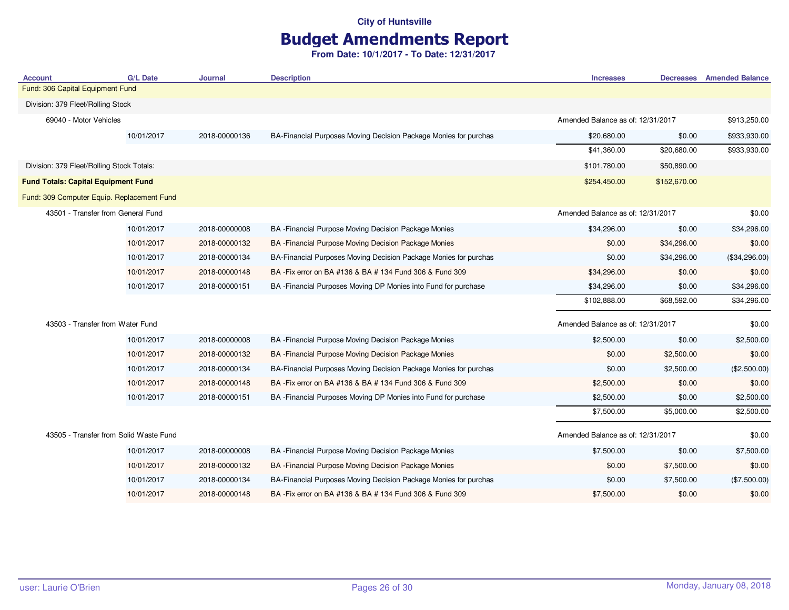# Budget Amendments Report

| <b>Account</b>                             | G/L Date   | Journal       | <b>Description</b>                                               | <b>Increases</b>                  | <b>Decreases</b> | <b>Amended Balance</b> |
|--------------------------------------------|------------|---------------|------------------------------------------------------------------|-----------------------------------|------------------|------------------------|
| Fund: 306 Capital Equipment Fund           |            |               |                                                                  |                                   |                  |                        |
| Division: 379 Fleet/Rolling Stock          |            |               |                                                                  |                                   |                  |                        |
| 69040 - Motor Vehicles                     |            |               |                                                                  | Amended Balance as of: 12/31/2017 |                  | \$913,250.00           |
|                                            | 10/01/2017 | 2018-00000136 | BA-Financial Purposes Moving Decision Package Monies for purchas | \$20,680.00                       | \$0.00           | \$933,930.00           |
|                                            |            |               |                                                                  | \$41,360.00                       | \$20,680.00      | \$933,930.00           |
| Division: 379 Fleet/Rolling Stock Totals:  |            |               |                                                                  | \$101,780.00                      | \$50,890.00      |                        |
| <b>Fund Totals: Capital Equipment Fund</b> |            |               |                                                                  | \$254,450.00                      | \$152,670.00     |                        |
| Fund: 309 Computer Equip. Replacement Fund |            |               |                                                                  |                                   |                  |                        |
| 43501 - Transfer from General Fund         |            |               |                                                                  | Amended Balance as of: 12/31/2017 |                  | \$0.00                 |
|                                            | 10/01/2017 | 2018-00000008 | BA - Financial Purpose Moving Decision Package Monies            | \$34,296.00                       | \$0.00           | \$34,296.00            |
|                                            | 10/01/2017 | 2018-00000132 | BA - Financial Purpose Moving Decision Package Monies            | \$0.00                            | \$34,296.00      | \$0.00                 |
|                                            | 10/01/2017 | 2018-00000134 | BA-Financial Purposes Moving Decision Package Monies for purchas | \$0.00                            | \$34,296.00      | (\$34,296.00)          |
|                                            | 10/01/2017 | 2018-00000148 | BA - Fix error on BA #136 & BA #134 Fund 306 & Fund 309          | \$34,296.00                       | \$0.00           | \$0.00                 |
|                                            | 10/01/2017 | 2018-00000151 | BA - Financial Purposes Moving DP Monies into Fund for purchase  | \$34,296.00                       | \$0.00           | \$34,296.00            |
|                                            |            |               |                                                                  | \$102,888.00                      | \$68,592.00      | \$34,296.00            |
| 43503 - Transfer from Water Fund           |            |               |                                                                  | Amended Balance as of: 12/31/2017 |                  | \$0.00                 |
|                                            | 10/01/2017 | 2018-00000008 | BA - Financial Purpose Moving Decision Package Monies            | \$2,500.00                        | \$0.00           | \$2,500.00             |
|                                            | 10/01/2017 | 2018-00000132 | BA - Financial Purpose Moving Decision Package Monies            | \$0.00                            | \$2,500.00       | \$0.00                 |
|                                            | 10/01/2017 | 2018-00000134 | BA-Financial Purposes Moving Decision Package Monies for purchas | \$0.00                            | \$2,500.00       | (\$2,500.00)           |
|                                            | 10/01/2017 | 2018-00000148 | BA - Fix error on BA #136 & BA # 134 Fund 306 & Fund 309         | \$2,500.00                        | \$0.00           | \$0.00                 |
|                                            | 10/01/2017 | 2018-00000151 | BA - Financial Purposes Moving DP Monies into Fund for purchase  | \$2,500.00                        | \$0.00           | \$2,500.00             |
|                                            |            |               |                                                                  | \$7,500.00                        | \$5,000.00       | \$2,500.00             |
| 43505 - Transfer from Solid Waste Fund     |            |               |                                                                  | Amended Balance as of: 12/31/2017 |                  | \$0.00                 |
|                                            | 10/01/2017 | 2018-00000008 | BA - Financial Purpose Moving Decision Package Monies            | \$7,500.00                        | \$0.00           | \$7,500.00             |
|                                            | 10/01/2017 | 2018-00000132 | BA - Financial Purpose Moving Decision Package Monies            | \$0.00                            | \$7,500.00       | \$0.00                 |
|                                            | 10/01/2017 | 2018-00000134 | BA-Financial Purposes Moving Decision Package Monies for purchas | \$0.00                            | \$7,500.00       | (\$7,500.00)           |
|                                            | 10/01/2017 | 2018-00000148 | BA - Fix error on BA #136 & BA # 134 Fund 306 & Fund 309         | \$7,500.00                        | \$0.00           | \$0.00                 |
|                                            |            |               |                                                                  |                                   |                  |                        |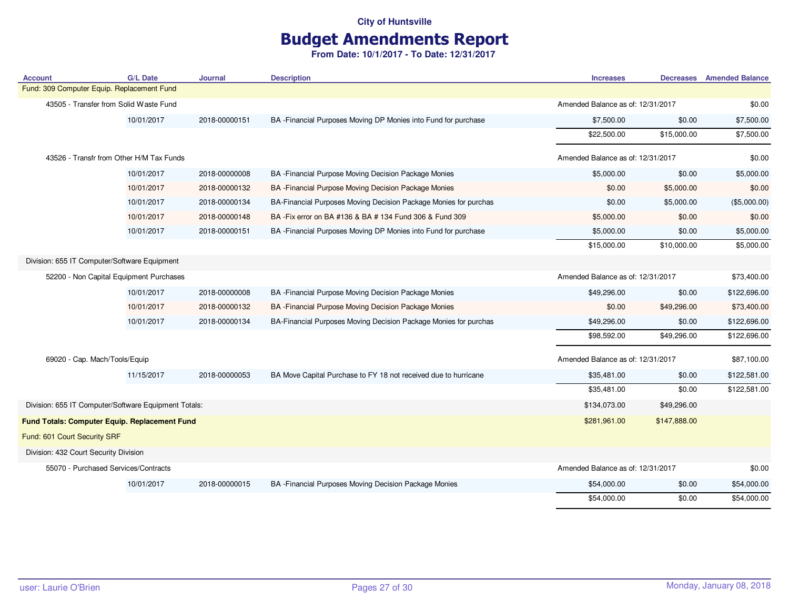## Budget Amendments Report

| <b>Account</b>                                       | <b>G/L Date</b> | Journal       | <b>Description</b>                                               | <b>Increases</b>                  |                                   | <b>Decreases</b> Amended Balance |
|------------------------------------------------------|-----------------|---------------|------------------------------------------------------------------|-----------------------------------|-----------------------------------|----------------------------------|
| Fund: 309 Computer Equip. Replacement Fund           |                 |               |                                                                  |                                   |                                   |                                  |
| 43505 - Transfer from Solid Waste Fund               |                 |               |                                                                  | Amended Balance as of: 12/31/2017 |                                   | \$0.00                           |
|                                                      | 10/01/2017      | 2018-00000151 | BA - Financial Purposes Moving DP Monies into Fund for purchase  | \$7,500.00                        | \$0.00                            | \$7,500.00                       |
|                                                      |                 |               |                                                                  | \$22,500.00                       | \$15,000.00                       | \$7,500.00                       |
| 43526 - Transfr from Other H/M Tax Funds             |                 |               |                                                                  | Amended Balance as of: 12/31/2017 |                                   | \$0.00                           |
|                                                      | 10/01/2017      | 2018-00000008 | BA - Financial Purpose Moving Decision Package Monies            | \$5,000.00                        | \$0.00                            | \$5,000.00                       |
|                                                      | 10/01/2017      | 2018-00000132 | BA - Financial Purpose Moving Decision Package Monies            | \$0.00                            | \$5,000.00                        | \$0.00                           |
|                                                      | 10/01/2017      | 2018-00000134 | BA-Financial Purposes Moving Decision Package Monies for purchas | \$0.00                            | \$5,000.00                        | (\$5,000.00)                     |
|                                                      | 10/01/2017      | 2018-00000148 | BA - Fix error on BA #136 & BA # 134 Fund 306 & Fund 309         | \$5,000.00                        | \$0.00                            | \$0.00                           |
|                                                      | 10/01/2017      | 2018-00000151 | BA - Financial Purposes Moving DP Monies into Fund for purchase  | \$5,000.00                        | \$0.00                            | \$5,000.00                       |
|                                                      |                 |               |                                                                  | \$15,000.00                       | \$10,000.00                       | \$5,000.00                       |
| Division: 655 IT Computer/Software Equipment         |                 |               |                                                                  |                                   |                                   |                                  |
| 52200 - Non Capital Equipment Purchases              |                 |               |                                                                  |                                   | Amended Balance as of: 12/31/2017 |                                  |
|                                                      | 10/01/2017      | 2018-00000008 | BA - Financial Purpose Moving Decision Package Monies            | \$49,296.00                       | \$0.00                            | \$122,696.00                     |
|                                                      | 10/01/2017      | 2018-00000132 | BA - Financial Purpose Moving Decision Package Monies            | \$0.00                            | \$49,296.00                       | \$73,400.00                      |
|                                                      | 10/01/2017      | 2018-00000134 | BA-Financial Purposes Moving Decision Package Monies for purchas | \$49,296.00                       | \$0.00                            | \$122,696.00                     |
|                                                      |                 |               |                                                                  | \$98,592.00                       | \$49,296.00                       | \$122,696.00                     |
| 69020 - Cap. Mach/Tools/Equip                        |                 |               |                                                                  | Amended Balance as of: 12/31/2017 |                                   | \$87,100.00                      |
|                                                      | 11/15/2017      | 2018-00000053 | BA Move Capital Purchase to FY 18 not received due to hurricane  | \$35,481.00                       | \$0.00                            | \$122,581.00                     |
|                                                      |                 |               |                                                                  | \$35,481.00                       | \$0.00                            | \$122,581.00                     |
| Division: 655 IT Computer/Software Equipment Totals: |                 |               |                                                                  | \$134,073.00                      | \$49,296.00                       |                                  |
| Fund Totals: Computer Equip. Replacement Fund        |                 |               |                                                                  | \$281,961.00                      | \$147,888.00                      |                                  |
| Fund: 601 Court Security SRF                         |                 |               |                                                                  |                                   |                                   |                                  |
| Division: 432 Court Security Division                |                 |               |                                                                  |                                   |                                   |                                  |
| 55070 - Purchased Services/Contracts                 |                 |               |                                                                  | Amended Balance as of: 12/31/2017 |                                   | \$0.00                           |
|                                                      | 10/01/2017      | 2018-00000015 | BA - Financial Purposes Moving Decision Package Monies           | \$54,000.00                       | \$0.00                            | \$54,000.00                      |
|                                                      |                 |               |                                                                  | \$54,000.00                       | \$0.00                            | \$54,000.00                      |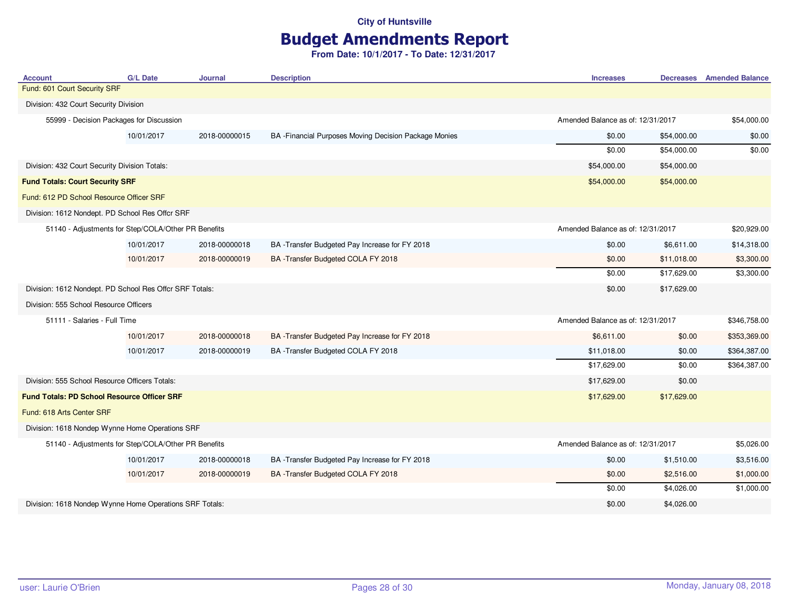## Budget Amendments Report

| <b>Account</b>                                          | <b>G/L Date</b> | Journal       | <b>Description</b>                                     | <b>Increases</b>                  |             | <b>Decreases</b> Amended Balance |
|---------------------------------------------------------|-----------------|---------------|--------------------------------------------------------|-----------------------------------|-------------|----------------------------------|
| Fund: 601 Court Security SRF                            |                 |               |                                                        |                                   |             |                                  |
| Division: 432 Court Security Division                   |                 |               |                                                        |                                   |             |                                  |
| 55999 - Decision Packages for Discussion                |                 |               |                                                        | Amended Balance as of: 12/31/2017 |             | \$54,000.00                      |
|                                                         | 10/01/2017      | 2018-00000015 | BA - Financial Purposes Moving Decision Package Monies | \$0.00                            | \$54,000.00 | \$0.00                           |
|                                                         |                 |               |                                                        | \$0.00                            | \$54,000.00 | \$0.00                           |
| Division: 432 Court Security Division Totals:           |                 |               |                                                        | \$54,000.00                       | \$54,000.00 |                                  |
| <b>Fund Totals: Court Security SRF</b>                  |                 |               |                                                        | \$54,000.00                       | \$54,000.00 |                                  |
| Fund: 612 PD School Resource Officer SRF                |                 |               |                                                        |                                   |             |                                  |
| Division: 1612 Nondept. PD School Res Offcr SRF         |                 |               |                                                        |                                   |             |                                  |
| 51140 - Adjustments for Step/COLA/Other PR Benefits     |                 |               |                                                        | Amended Balance as of: 12/31/2017 |             | \$20,929.00                      |
|                                                         | 10/01/2017      | 2018-00000018 | BA -Transfer Budgeted Pay Increase for FY 2018         | \$0.00                            | \$6,611.00  | \$14,318.00                      |
|                                                         | 10/01/2017      | 2018-00000019 | BA-Transfer Budgeted COLA FY 2018                      | \$0.00                            | \$11,018.00 | \$3,300.00                       |
|                                                         |                 |               |                                                        | \$0.00                            | \$17,629.00 | \$3,300.00                       |
| Division: 1612 Nondept. PD School Res Offer SRF Totals: |                 |               |                                                        | \$0.00                            | \$17,629.00 |                                  |
| Division: 555 School Resource Officers                  |                 |               |                                                        |                                   |             |                                  |
| 51111 - Salaries - Full Time                            |                 |               |                                                        | Amended Balance as of: 12/31/2017 |             | \$346,758.00                     |
|                                                         | 10/01/2017      | 2018-00000018 | BA -Transfer Budgeted Pay Increase for FY 2018         | \$6,611.00                        | \$0.00      | \$353,369.00                     |
|                                                         | 10/01/2017      | 2018-00000019 | BA -Transfer Budgeted COLA FY 2018                     | \$11,018.00                       | \$0.00      | \$364,387.00                     |
|                                                         |                 |               |                                                        | \$17,629.00                       | \$0.00      | \$364,387.00                     |
| Division: 555 School Resource Officers Totals:          |                 |               |                                                        | \$17,629.00                       | \$0.00      |                                  |
| <b>Fund Totals: PD School Resource Officer SRF</b>      |                 |               |                                                        | \$17,629.00                       | \$17,629.00 |                                  |
| Fund: 618 Arts Center SRF                               |                 |               |                                                        |                                   |             |                                  |
| Division: 1618 Nondep Wynne Home Operations SRF         |                 |               |                                                        |                                   |             |                                  |
| 51140 - Adjustments for Step/COLA/Other PR Benefits     |                 |               |                                                        | Amended Balance as of: 12/31/2017 |             | \$5,026.00                       |
|                                                         | 10/01/2017      | 2018-00000018 | BA -Transfer Budgeted Pay Increase for FY 2018         | \$0.00                            | \$1,510.00  | \$3,516.00                       |
|                                                         | 10/01/2017      | 2018-00000019 | BA-Transfer Budgeted COLA FY 2018                      | \$0.00                            | \$2,516.00  | \$1,000.00                       |
|                                                         |                 |               |                                                        | \$0.00                            | \$4,026.00  | \$1,000.00                       |
| Division: 1618 Nondep Wynne Home Operations SRF Totals: |                 |               |                                                        | \$0.00                            | \$4,026.00  |                                  |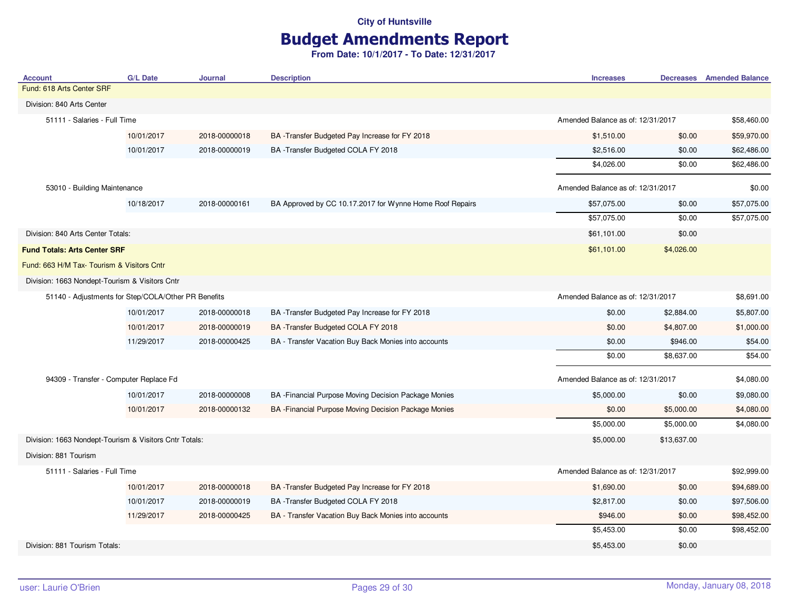# Budget Amendments Report

| <b>Account</b>                                         | <b>G/L Date</b> | Journal       | <b>Description</b>                                       | <b>Increases</b>                  |                                   | <b>Decreases</b> Amended Balance |
|--------------------------------------------------------|-----------------|---------------|----------------------------------------------------------|-----------------------------------|-----------------------------------|----------------------------------|
| Fund: 618 Arts Center SRF                              |                 |               |                                                          |                                   |                                   |                                  |
| Division: 840 Arts Center                              |                 |               |                                                          |                                   |                                   |                                  |
| 51111 - Salaries - Full Time                           |                 |               | Amended Balance as of: 12/31/2017                        |                                   | \$58,460.00                       |                                  |
|                                                        | 10/01/2017      | 2018-00000018 | BA-Transfer Budgeted Pay Increase for FY 2018            | \$1,510.00                        | \$0.00                            | \$59,970.00                      |
|                                                        | 10/01/2017      | 2018-00000019 | BA-Transfer Budgeted COLA FY 2018                        | \$2,516.00                        | \$0.00                            | \$62,486.00                      |
|                                                        |                 |               |                                                          | \$4,026.00                        | \$0.00                            | \$62,486.00                      |
| 53010 - Building Maintenance                           |                 |               |                                                          | Amended Balance as of: 12/31/2017 |                                   | \$0.00                           |
|                                                        | 10/18/2017      | 2018-00000161 | BA Approved by CC 10.17.2017 for Wynne Home Roof Repairs | \$57,075.00                       | \$0.00                            | \$57,075.00                      |
|                                                        |                 |               |                                                          | \$57,075.00                       | \$0.00                            | \$57,075.00                      |
| Division: 840 Arts Center Totals:                      |                 |               |                                                          | \$61,101.00                       | \$0.00                            |                                  |
| <b>Fund Totals: Arts Center SRF</b>                    |                 |               |                                                          | \$61,101.00                       | \$4,026.00                        |                                  |
| Fund: 663 H/M Tax- Tourism & Visitors Cntr             |                 |               |                                                          |                                   |                                   |                                  |
| Division: 1663 Nondept-Tourism & Visitors Cntr         |                 |               |                                                          |                                   |                                   |                                  |
| 51140 - Adjustments for Step/COLA/Other PR Benefits    |                 |               |                                                          | Amended Balance as of: 12/31/2017 |                                   | \$8,691.00                       |
|                                                        | 10/01/2017      | 2018-00000018 | BA-Transfer Budgeted Pay Increase for FY 2018            | \$0.00                            | \$2,884.00                        | \$5,807.00                       |
|                                                        | 10/01/2017      | 2018-00000019 | BA -Transfer Budgeted COLA FY 2018                       | \$0.00                            | \$4,807.00                        | \$1,000.00                       |
|                                                        | 11/29/2017      | 2018-00000425 | BA - Transfer Vacation Buy Back Monies into accounts     | \$0.00                            | \$946.00                          | \$54.00                          |
|                                                        |                 |               |                                                          | \$0.00                            | \$8,637.00                        | \$54.00                          |
| 94309 - Transfer - Computer Replace Fd                 |                 |               |                                                          | Amended Balance as of: 12/31/2017 |                                   | \$4,080.00                       |
|                                                        | 10/01/2017      | 2018-00000008 | BA - Financial Purpose Moving Decision Package Monies    | \$5,000.00                        | \$0.00                            | \$9,080.00                       |
|                                                        | 10/01/2017      | 2018-00000132 | BA - Financial Purpose Moving Decision Package Monies    | \$0.00                            | \$5,000.00                        | \$4,080.00                       |
|                                                        |                 |               |                                                          | \$5,000.00                        | \$5,000.00                        | \$4,080.00                       |
| Division: 1663 Nondept-Tourism & Visitors Cntr Totals: |                 |               |                                                          | \$5,000.00                        | \$13,637.00                       |                                  |
| Division: 881 Tourism                                  |                 |               |                                                          |                                   |                                   |                                  |
| 51111 - Salaries - Full Time                           |                 |               |                                                          |                                   | Amended Balance as of: 12/31/2017 |                                  |
|                                                        | 10/01/2017      | 2018-00000018 | BA -Transfer Budgeted Pay Increase for FY 2018           | \$1,690.00                        | \$0.00                            | \$94,689.00                      |
|                                                        | 10/01/2017      | 2018-00000019 | BA-Transfer Budgeted COLA FY 2018                        | \$2,817.00                        | \$0.00                            | \$97,506.00                      |
|                                                        | 11/29/2017      | 2018-00000425 | BA - Transfer Vacation Buy Back Monies into accounts     | \$946.00                          | \$0.00                            | \$98,452.00                      |
|                                                        |                 |               |                                                          | \$5,453.00                        | \$0.00                            | \$98,452.00                      |
| Division: 881 Tourism Totals:                          |                 |               |                                                          | \$5,453.00                        | \$0.00                            |                                  |